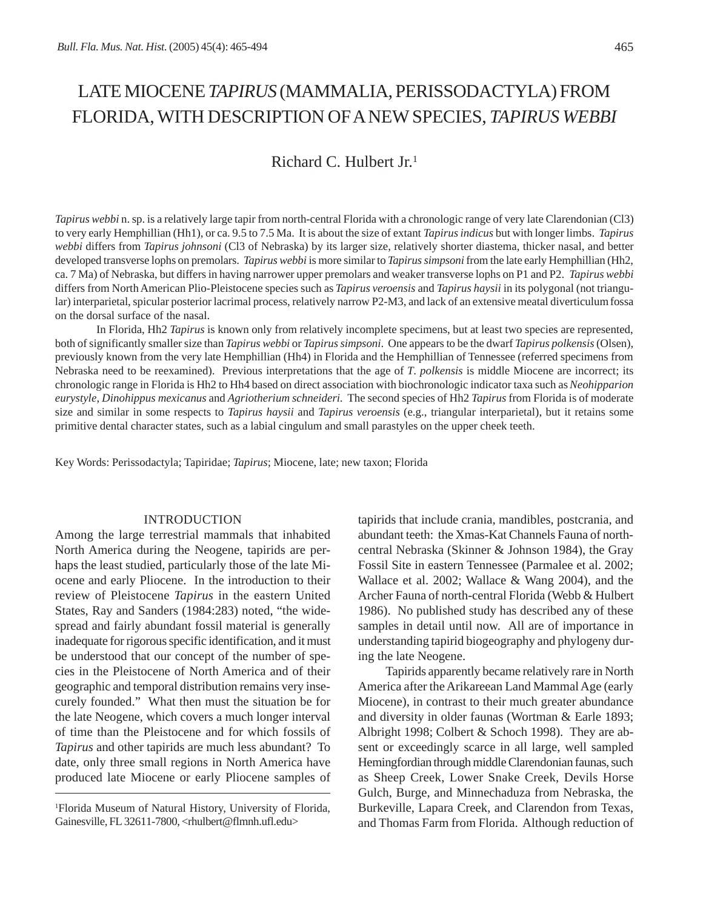# LATE MIOCENE *TAPIRUS* (MAMMALIA, PERISSODACTYLA) FROM FLORIDA, WITH DESCRIPTION OF A NEW SPECIES, *TAPIRUS WEBBI*

# Richard C. Hulbert Jr.1

*Tapirus webbi* n. sp. is a relatively large tapir from north-central Florida with a chronologic range of very late Clarendonian (Cl3) to very early Hemphillian (Hh1), or ca. 9.5 to 7.5 Ma. It is about the size of extant *Tapirusindicus* but with longer limbs. *Tapirus webbi* differs from *Tapirus johnsoni* (Cl3 of Nebraska) by its larger size, relatively shorter diastema, thicker nasal, and better developed transverse lophs on premolars. *Tapirus webbi* is more similar to *Tapirus simpsoni* from the late early Hemphillian (Hh2, ca. 7 Ma) of Nebraska, but differs in having narrower upper premolars and weaker transverse lophs on P1 and P2. *Tapirus webbi* differs from North American Plio-Pleistocene species such as *Tapirus veroensis* and *Tapirus haysii* in its polygonal (not triangular) interparietal, spicular posterior lacrimal process, relatively narrow P2-M3, and lack of an extensive meatal diverticulum fossa on the dorsal surface of the nasal.

In Florida, Hh2 *Tapirus* is known only from relatively incomplete specimens, but at least two species are represented, both of significantly smaller size than *Tapirus webbi* or *Tapirussimpsoni*. One appears to be the dwarf *Tapirus polkensis* (Olsen), previously known from the very late Hemphillian (Hh4) in Florida and the Hemphillian of Tennessee (referred specimens from Nebraska need to be reexamined). Previous interpretations that the age of *T*. *polkensis* is middle Miocene are incorrect; its chronologic range in Florida is Hh2 to Hh4 based on direct association with biochronologic indicator taxa such as *Neohipparion eurystyle*, *Dinohippus mexicanus* and *Agriotherium schneideri*. The second species of Hh2 *Tapirus* from Florida is of moderate size and similar in some respects to *Tapirus haysii* and *Tapirus veroensis* (e.g., triangular interparietal), but it retains some primitive dental character states, such as a labial cingulum and small parastyles on the upper cheek teeth.

Key Words: Perissodactyla; Tapiridae; *Tapirus*; Miocene, late; new taxon; Florida

#### INTRODUCTION

Among the large terrestrial mammals that inhabited North America during the Neogene, tapirids are perhaps the least studied, particularly those of the late Miocene and early Pliocene. In the introduction to their review of Pleistocene *Tapirus* in the eastern United States, Ray and Sanders (1984:283) noted, "the widespread and fairly abundant fossil material is generally inadequate for rigorous specific identification, and it must be understood that our concept of the number of species in the Pleistocene of North America and of their geographic and temporal distribution remains very insecurely founded." What then must the situation be for the late Neogene, which covers a much longer interval of time than the Pleistocene and for which fossils of *Tapirus* and other tapirids are much less abundant? To date, only three small regions in North America have produced late Miocene or early Pliocene samples of

1 Florida Museum of Natural History, University of Florida, Gainesville, FL 32611-7800, <rhulbert@flmnh.ufl.edu>

tapirids that include crania, mandibles, postcrania, and abundant teeth: the Xmas-Kat Channels Fauna of northcentral Nebraska (Skinner & Johnson 1984), the Gray Fossil Site in eastern Tennessee (Parmalee et al. 2002; Wallace et al. 2002; Wallace & Wang 2004), and the Archer Fauna of north-central Florida (Webb & Hulbert 1986). No published study has described any of these samples in detail until now. All are of importance in understanding tapirid biogeography and phylogeny during the late Neogene.

Tapirids apparently became relatively rare in North America after the Arikareean Land Mammal Age (early Miocene), in contrast to their much greater abundance and diversity in older faunas (Wortman & Earle 1893; Albright 1998; Colbert & Schoch 1998). They are absent or exceedingly scarce in all large, well sampled Hemingfordian through middle Clarendonian faunas, such as Sheep Creek, Lower Snake Creek, Devils Horse Gulch, Burge, and Minnechaduza from Nebraska, the Burkeville, Lapara Creek, and Clarendon from Texas, and Thomas Farm from Florida. Although reduction of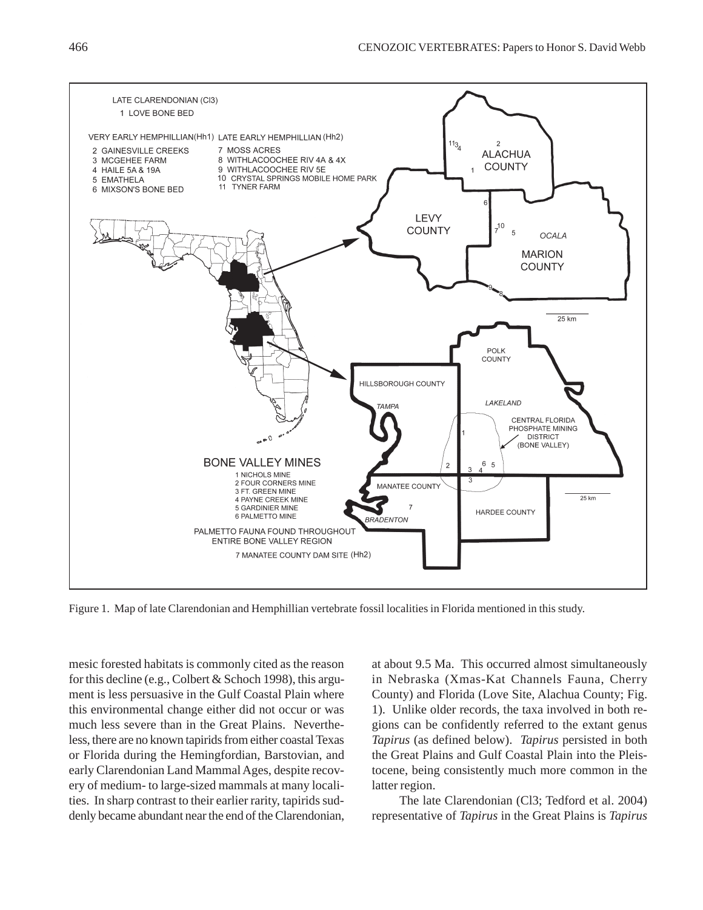

Figure 1. Map of late Clarendonian and Hemphillian vertebrate fossil localities in Florida mentioned in this study.

mesic forested habitats is commonly cited as the reason for this decline (e.g., Colbert & Schoch 1998), this argument is less persuasive in the Gulf Coastal Plain where this environmental change either did not occur or was much less severe than in the Great Plains. Nevertheless, there are no known tapirids from either coastal Texas or Florida during the Hemingfordian, Barstovian, and early Clarendonian Land Mammal Ages, despite recovery of medium- to large-sized mammals at many localities. In sharp contrast to their earlier rarity, tapirids suddenly became abundant near the end of the Clarendonian, at about 9.5 Ma. This occurred almost simultaneously in Nebraska (Xmas-Kat Channels Fauna, Cherry County) and Florida (Love Site, Alachua County; Fig. 1). Unlike older records, the taxa involved in both regions can be confidently referred to the extant genus *Tapirus* (as defined below). *Tapirus* persisted in both the Great Plains and Gulf Coastal Plain into the Pleistocene, being consistently much more common in the latter region.

The late Clarendonian (Cl3; Tedford et al. 2004) representative of *Tapirus* in the Great Plains is *Tapirus*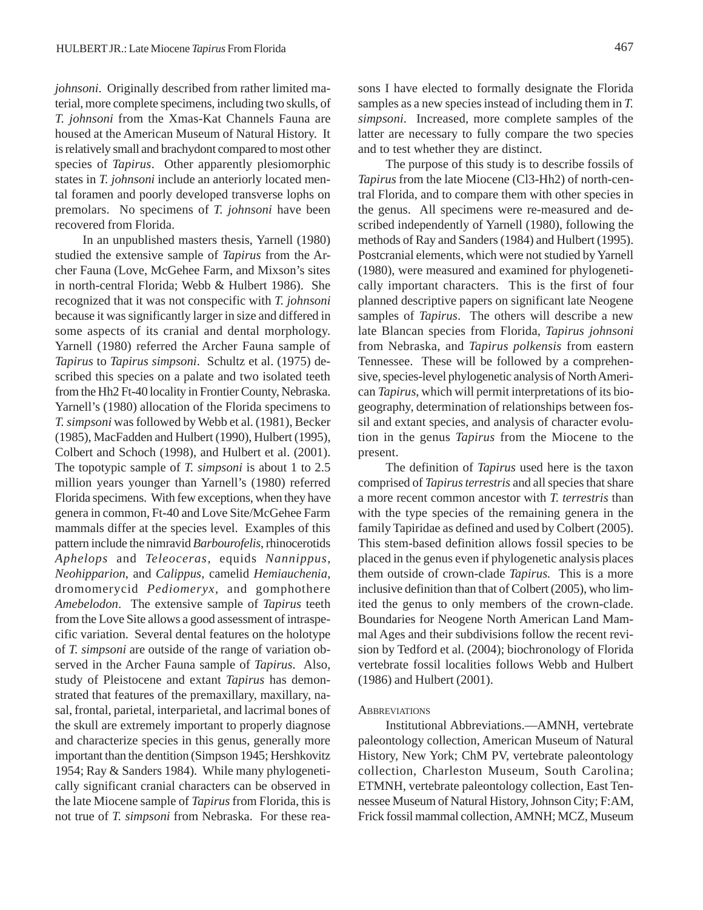*johnsoni*. Originally described from rather limited material, more complete specimens, including two skulls, of *T. johnsoni* from the Xmas-Kat Channels Fauna are housed at the American Museum of Natural History. It is relatively small and brachydont compared to most other species of *Tapirus*. Other apparently plesiomorphic states in *T. johnsoni* include an anteriorly located mental foramen and poorly developed transverse lophs on premolars. No specimens of *T. johnsoni* have been recovered from Florida.

In an unpublished masters thesis, Yarnell (1980) studied the extensive sample of *Tapirus* from the Archer Fauna (Love, McGehee Farm, and Mixson's sites in north-central Florida; Webb & Hulbert 1986). She recognized that it was not conspecific with *T. johnsoni* because it was significantly larger in size and differed in some aspects of its cranial and dental morphology. Yarnell (1980) referred the Archer Fauna sample of *Tapirus* to *Tapirus simpsoni*. Schultz et al. (1975) described this species on a palate and two isolated teeth from the Hh2 Ft-40 locality in Frontier County, Nebraska. Yarnell's (1980) allocation of the Florida specimens to *T. simpsoni* was followed by Webb et al. (1981), Becker (1985), MacFadden and Hulbert (1990), Hulbert (1995), Colbert and Schoch (1998), and Hulbert et al. (2001). The topotypic sample of *T. simpsoni* is about 1 to 2.5 million years younger than Yarnell's (1980) referred Florida specimens. With few exceptions, when they have genera in common, Ft-40 and Love Site/McGehee Farm mammals differ at the species level. Examples of this pattern include the nimravid *Barbourofelis*, rhinocerotids *Aphelops* and *Teleoceras*, equids *Nannippus*, *Neohipparion*, and *Calippus*, camelid *Hemiauchenia*, dromomerycid *Pediomeryx*, and gomphothere *Amebelodon*. The extensive sample of *Tapirus* teeth from the Love Site allows a good assessment of intraspecific variation. Several dental features on the holotype of *T. simpsoni* are outside of the range of variation observed in the Archer Fauna sample of *Tapirus*. Also, study of Pleistocene and extant *Tapirus* has demonstrated that features of the premaxillary, maxillary, nasal, frontal, parietal, interparietal, and lacrimal bones of the skull are extremely important to properly diagnose and characterize species in this genus, generally more important than the dentition (Simpson 1945; Hershkovitz 1954; Ray & Sanders 1984). While many phylogenetically significant cranial characters can be observed in the late Miocene sample of *Tapirus* from Florida, this is not true of *T. simpsoni* from Nebraska. For these reasons I have elected to formally designate the Florida samples as a new species instead of including them in *T. simpsoni*. Increased, more complete samples of the latter are necessary to fully compare the two species and to test whether they are distinct.

The purpose of this study is to describe fossils of *Tapirus* from the late Miocene (Cl3-Hh2) of north-central Florida, and to compare them with other species in the genus. All specimens were re-measured and described independently of Yarnell (1980), following the methods of Ray and Sanders (1984) and Hulbert (1995). Postcranial elements, which were not studied by Yarnell (1980), were measured and examined for phylogenetically important characters. This is the first of four planned descriptive papers on significant late Neogene samples of *Tapirus*. The others will describe a new late Blancan species from Florida, *Tapirus johnsoni* from Nebraska, and *Tapirus polkensis* from eastern Tennessee. These will be followed by a comprehensive, species-level phylogenetic analysis of North American *Tapirus*, which will permit interpretations of its biogeography, determination of relationships between fossil and extant species, and analysis of character evolution in the genus *Tapirus* from the Miocene to the present.

The definition of *Tapirus* used here is the taxon comprised of *Tapirus terrestris* and all species that share a more recent common ancestor with *T. terrestris* than with the type species of the remaining genera in the family Tapiridae as defined and used by Colbert (2005). This stem-based definition allows fossil species to be placed in the genus even if phylogenetic analysis places them outside of crown-clade *Tapirus.* This is a more inclusive definition than that of Colbert (2005), who limited the genus to only members of the crown-clade. Boundaries for Neogene North American Land Mammal Ages and their subdivisions follow the recent revision by Tedford et al. (2004); biochronology of Florida vertebrate fossil localities follows Webb and Hulbert (1986) and Hulbert (2001).

#### **ABBREVIATIONS**

Institutional Abbreviations.—AMNH, vertebrate paleontology collection, American Museum of Natural History, New York; ChM PV, vertebrate paleontology collection, Charleston Museum, South Carolina; ETMNH, vertebrate paleontology collection, East Tennessee Museum of Natural History, Johnson City; F:AM, Frick fossil mammal collection, AMNH; MCZ, Museum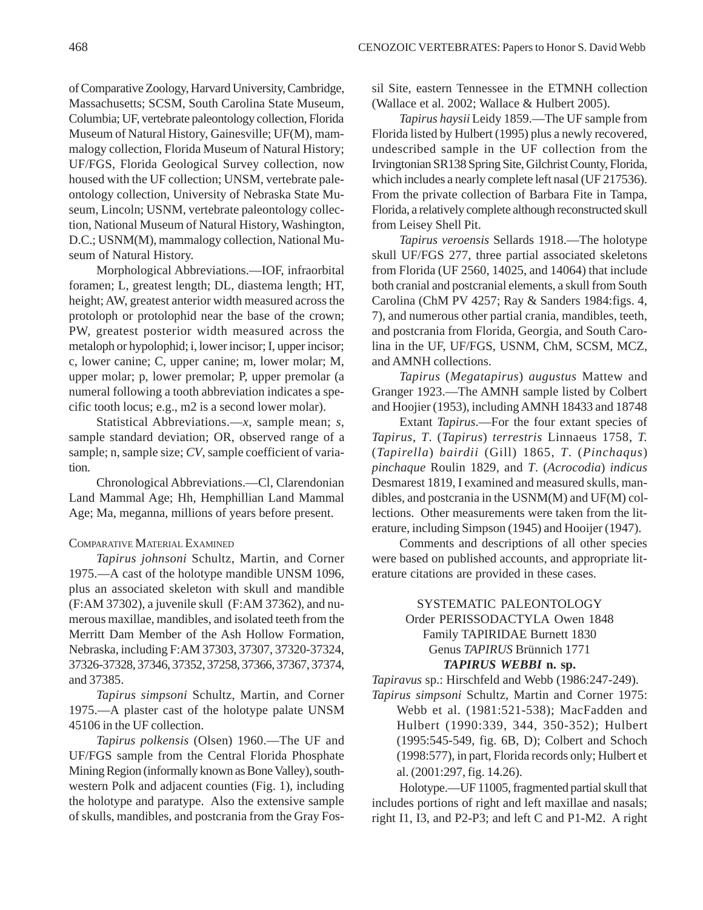of Comparative Zoology, Harvard University, Cambridge, Massachusetts; SCSM, South Carolina State Museum, Columbia; UF, vertebrate paleontology collection, Florida Museum of Natural History, Gainesville; UF(M), mammalogy collection, Florida Museum of Natural History; UF/FGS, Florida Geological Survey collection, now housed with the UF collection; UNSM, vertebrate paleontology collection, University of Nebraska State Museum, Lincoln; USNM, vertebrate paleontology collection, National Museum of Natural History, Washington, D.C.; USNM(M), mammalogy collection, National Museum of Natural History.

Morphological Abbreviations.—IOF, infraorbital foramen; L, greatest length; DL, diastema length; HT, height; AW, greatest anterior width measured across the protoloph or protolophid near the base of the crown; PW, greatest posterior width measured across the metaloph or hypolophid; i, lower incisor; I, upper incisor; c, lower canine; C, upper canine; m, lower molar; M, upper molar; p, lower premolar; P, upper premolar (a numeral following a tooth abbreviation indicates a specific tooth locus; e.g., m2 is a second lower molar).

Statistical Abbreviations.—*x*, sample mean; *s*, sample standard deviation; OR, observed range of a sample; n, sample size; *CV*, sample coefficient of variation.

Chronological Abbreviations.—Cl, Clarendonian Land Mammal Age; Hh, Hemphillian Land Mammal Age; Ma, meganna, millions of years before present.

### COMPARATIVE MATERIAL EXAMINED

*Tapirus johnsoni* Schultz, Martin, and Corner 1975.—A cast of the holotype mandible UNSM 1096, plus an associated skeleton with skull and mandible (F:AM 37302), a juvenile skull (F:AM 37362), and numerous maxillae, mandibles, and isolated teeth from the Merritt Dam Member of the Ash Hollow Formation, Nebraska, including F:AM 37303, 37307, 37320-37324, 37326-37328, 37346, 37352, 37258, 37366, 37367, 37374, and 37385.

*Tapirus simpsoni* Schultz, Martin, and Corner 1975.—A plaster cast of the holotype palate UNSM 45106 in the UF collection.

*Tapirus polkensis* (Olsen) 1960.—The UF and UF/FGS sample from the Central Florida Phosphate Mining Region (informally known as Bone Valley), southwestern Polk and adjacent counties (Fig. 1), including the holotype and paratype. Also the extensive sample of skulls, mandibles, and postcrania from the Gray Fos-

sil Site, eastern Tennessee in the ETMNH collection (Wallace et al. 2002; Wallace & Hulbert 2005).

*Tapirus haysii* Leidy 1859.—The UF sample from Florida listed by Hulbert (1995) plus a newly recovered, undescribed sample in the UF collection from the Irvingtonian SR138 Spring Site, Gilchrist County, Florida, which includes a nearly complete left nasal (UF 217536). From the private collection of Barbara Fite in Tampa, Florida, a relatively complete although reconstructed skull from Leisey Shell Pit.

*Tapirus veroensis* Sellards 1918.—The holotype skull UF/FGS 277, three partial associated skeletons from Florida (UF 2560, 14025, and 14064) that include both cranial and postcranial elements, a skull from South Carolina (ChM PV 4257; Ray & Sanders 1984:figs. 4, 7), and numerous other partial crania, mandibles, teeth, and postcrania from Florida, Georgia, and South Carolina in the UF, UF/FGS, USNM, ChM, SCSM, MCZ, and AMNH collections.

*Tapirus* (*Megatapirus*) *augustus* Mattew and Granger 1923.—The AMNH sample listed by Colbert and Hoojier (1953), including AMNH 18433 and 18748

Extant *Tapirus*.—For the four extant species of *Tapirus*, *T*. (*Tapirus*) *terrestris* Linnaeus 1758, *T.* (*Tapirella*) *bairdii* (Gill) 1865, *T*. (*Pinchaqus*) *pinchaque* Roulin 1829, and *T*. (*Acrocodia*) *indicus* Desmarest 1819, I examined and measured skulls, mandibles, and postcrania in the USNM(M) and UF(M) collections. Other measurements were taken from the literature, including Simpson (1945) and Hooijer (1947).

Comments and descriptions of all other species were based on published accounts, and appropriate literature citations are provided in these cases.

## SYSTEMATIC PALEONTOLOGY Order PERISSODACTYLA Owen 1848 Family TAPIRIDAE Burnett 1830 Genus *TAPIRUS* Brünnich 1771 *TAPIRUS WEBBI* **n. sp.**

*Tapiravus* sp.: Hirschfeld and Webb (1986:247-249). *Tapirus simpsoni* Schultz, Martin and Corner 1975:

Webb et al. (1981:521-538); MacFadden and Hulbert (1990:339, 344, 350-352); Hulbert (1995:545-549, fig. 6B, D); Colbert and Schoch (1998:577), in part, Florida records only; Hulbert et al. (2001:297, fig. 14.26).

Holotype.—UF 11005, fragmented partial skull that includes portions of right and left maxillae and nasals; right I1, I3, and P2-P3; and left C and P1-M2. A right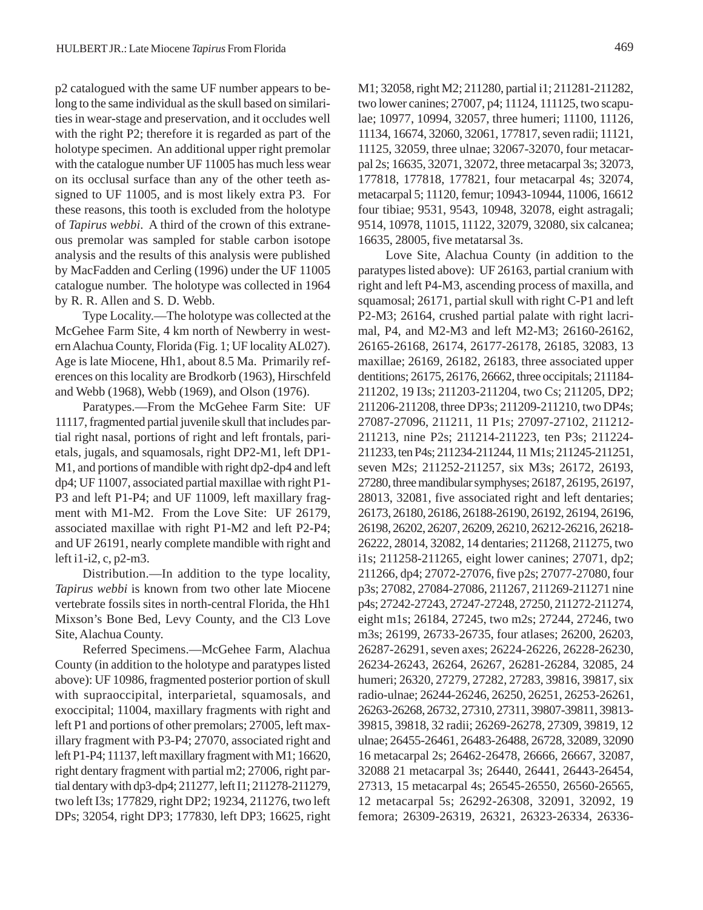p2 catalogued with the same UF number appears to belong to the same individual as the skull based on similarities in wear-stage and preservation, and it occludes well with the right P2; therefore it is regarded as part of the holotype specimen. An additional upper right premolar with the catalogue number UF 11005 has much less wear on its occlusal surface than any of the other teeth assigned to UF 11005, and is most likely extra P3. For these reasons, this tooth is excluded from the holotype of *Tapirus webbi*. A third of the crown of this extraneous premolar was sampled for stable carbon isotope analysis and the results of this analysis were published by MacFadden and Cerling (1996) under the UF 11005 catalogue number. The holotype was collected in 1964 by R. R. Allen and S. D. Webb.

Type Locality.—The holotype was collected at the McGehee Farm Site, 4 km north of Newberry in western Alachua County, Florida (Fig. 1; UF locality AL027). Age is late Miocene, Hh1, about 8.5 Ma. Primarily references on this locality are Brodkorb (1963), Hirschfeld and Webb (1968), Webb (1969), and Olson (1976).

Paratypes.—From the McGehee Farm Site: UF 11117, fragmented partial juvenile skull that includes partial right nasal, portions of right and left frontals, parietals, jugals, and squamosals, right DP2-M1, left DP1- M1, and portions of mandible with right dp2-dp4 and left dp4; UF 11007, associated partial maxillae with right P1- P3 and left P1-P4; and UF 11009, left maxillary fragment with M1-M2. From the Love Site: UF 26179, associated maxillae with right P1-M2 and left P2-P4; and UF 26191, nearly complete mandible with right and left i1-i2, c, p2-m3.

Distribution.—In addition to the type locality, *Tapirus webbi* is known from two other late Miocene vertebrate fossils sites in north-central Florida, the Hh1 Mixson's Bone Bed, Levy County, and the Cl3 Love Site, Alachua County.

Referred Specimens.—McGehee Farm, Alachua County (in addition to the holotype and paratypes listed above): UF 10986, fragmented posterior portion of skull with supraoccipital, interparietal, squamosals, and exoccipital; 11004, maxillary fragments with right and left P1 and portions of other premolars; 27005, left maxillary fragment with P3-P4; 27070, associated right and left P1-P4; 11137, left maxillary fragment with M1; 16620, right dentary fragment with partial m2; 27006, right partial dentary with dp3-dp4; 211277, left I1; 211278-211279, two left I3s; 177829, right DP2; 19234, 211276, two left DPs; 32054, right DP3; 177830, left DP3; 16625, right M1; 32058, right M2; 211280, partial i1; 211281-211282, two lower canines; 27007, p4; 11124, 111125, two scapulae; 10977, 10994, 32057, three humeri; 11100, 11126, 11134, 16674, 32060, 32061, 177817, seven radii; 11121, 11125, 32059, three ulnae; 32067-32070, four metacarpal 2s; 16635, 32071, 32072, three metacarpal 3s; 32073, 177818, 177818, 177821, four metacarpal 4s; 32074, metacarpal 5; 11120, femur; 10943-10944, 11006, 16612 four tibiae; 9531, 9543, 10948, 32078, eight astragali; 9514, 10978, 11015, 11122, 32079, 32080, six calcanea; 16635, 28005, five metatarsal 3s.

Love Site, Alachua County (in addition to the paratypes listed above): UF 26163, partial cranium with right and left P4-M3, ascending process of maxilla, and squamosal; 26171, partial skull with right C-P1 and left P2-M3; 26164, crushed partial palate with right lacrimal, P4, and M2-M3 and left M2-M3; 26160-26162, 26165-26168, 26174, 26177-26178, 26185, 32083, 13 maxillae; 26169, 26182, 26183, three associated upper dentitions; 26175, 26176, 26662, three occipitals; 211184- 211202, 19 I3s; 211203-211204, two Cs; 211205, DP2; 211206-211208, three DP3s; 211209-211210, two DP4s; 27087-27096, 211211, 11 P1s; 27097-27102, 211212- 211213, nine P2s; 211214-211223, ten P3s; 211224- 211233, ten P4s; 211234-211244, 11 M1s; 211245-211251, seven M2s; 211252-211257, six M3s; 26172, 26193, 27280, three mandibular symphyses; 26187, 26195, 26197, 28013, 32081, five associated right and left dentaries; 26173, 26180, 26186, 26188-26190, 26192, 26194, 26196, 26198, 26202, 26207, 26209, 26210, 26212-26216, 26218- 26222, 28014, 32082, 14 dentaries; 211268, 211275, two i1s; 211258-211265, eight lower canines; 27071, dp2; 211266, dp4; 27072-27076, five p2s; 27077-27080, four p3s; 27082, 27084-27086, 211267, 211269-211271 nine p4s; 27242-27243, 27247-27248, 27250, 211272-211274, eight m1s; 26184, 27245, two m2s; 27244, 27246, two m3s; 26199, 26733-26735, four atlases; 26200, 26203, 26287-26291, seven axes; 26224-26226, 26228-26230, 26234-26243, 26264, 26267, 26281-26284, 32085, 24 humeri; 26320, 27279, 27282, 27283, 39816, 39817, six radio-ulnae; 26244-26246, 26250, 26251, 26253-26261, 26263-26268, 26732, 27310, 27311, 39807-39811, 39813- 39815, 39818, 32 radii; 26269-26278, 27309, 39819, 12 ulnae; 26455-26461, 26483-26488, 26728, 32089, 32090 16 metacarpal 2s; 26462-26478, 26666, 26667, 32087, 32088 21 metacarpal 3s; 26440, 26441, 26443-26454, 27313, 15 metacarpal 4s; 26545-26550, 26560-26565, 12 metacarpal 5s; 26292-26308, 32091, 32092, 19 femora; 26309-26319, 26321, 26323-26334, 26336-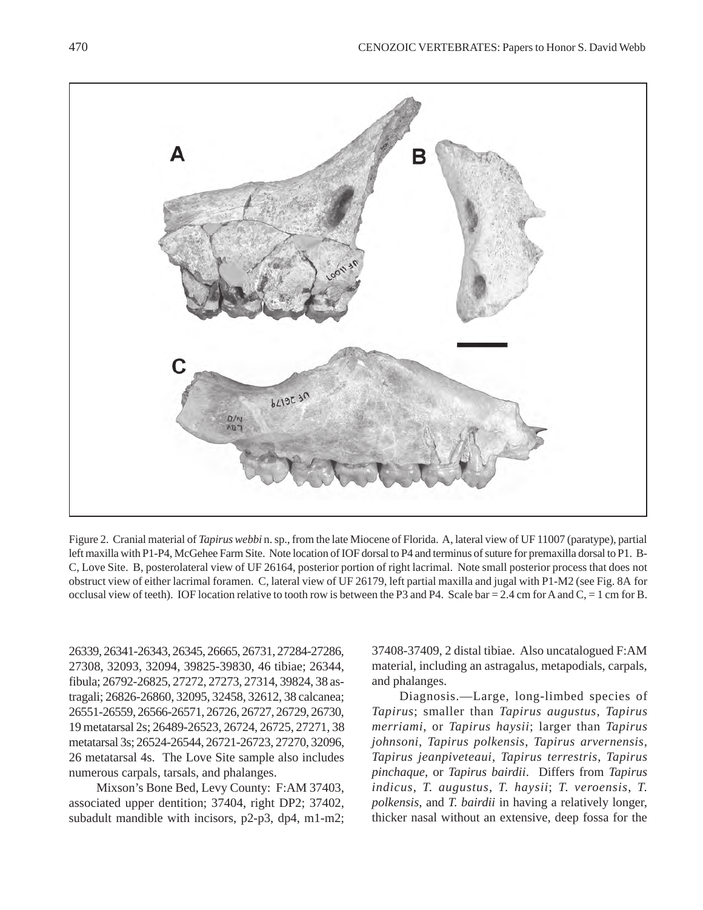

Figure 2. Cranial material of *Tapirus webbi* n. sp., from the late Miocene of Florida. A, lateral view of UF 11007 (paratype), partial left maxilla with P1-P4, McGehee Farm Site. Note location of IOF dorsal to P4 and terminus of suture for premaxilla dorsal to P1. B-C, Love Site. B, posterolateral view of UF 26164, posterior portion of right lacrimal. Note small posterior process that does not obstruct view of either lacrimal foramen. C, lateral view of UF 26179, left partial maxilla and jugal with P1-M2 (see Fig. 8A for occlusal view of teeth). IOF location relative to tooth row is between the P3 and P4. Scale bar = 2.4 cm for A and  $C = 1$  cm for B.

26339, 26341-26343, 26345, 26665, 26731, 27284-27286, 27308, 32093, 32094, 39825-39830, 46 tibiae; 26344, fibula; 26792-26825, 27272, 27273, 27314, 39824, 38 astragali; 26826-26860, 32095, 32458, 32612, 38 calcanea; 26551-26559, 26566-26571, 26726, 26727, 26729, 26730, 19 metatarsal 2s; 26489-26523, 26724, 26725, 27271, 38 metatarsal 3s; 26524-26544, 26721-26723, 27270, 32096, 26 metatarsal 4s. The Love Site sample also includes numerous carpals, tarsals, and phalanges.

Mixson's Bone Bed, Levy County: F:AM 37403, associated upper dentition; 37404, right DP2; 37402, subadult mandible with incisors, p2-p3, dp4, m1-m2; 37408-37409, 2 distal tibiae. Also uncatalogued F:AM material, including an astragalus, metapodials, carpals, and phalanges.

Diagnosis.—Large, long-limbed species of *Tapirus*; smaller than *Tapirus augustus*, *Tapirus merriami*, or *Tapirus haysii*; larger than *Tapirus johnsoni*, *Tapirus polkensis*, *Tapirus arvernensis*, *Tapirus jeanpiveteaui*, *Tapirus terrestris*, *Tapirus pinchaque*, or *Tapirus bairdii*. Differs from *Tapirus indicus*, *T. augustus*, *T. haysii*; *T. veroensis*, *T. polkensis*, and *T. bairdii* in having a relatively longer, thicker nasal without an extensive, deep fossa for the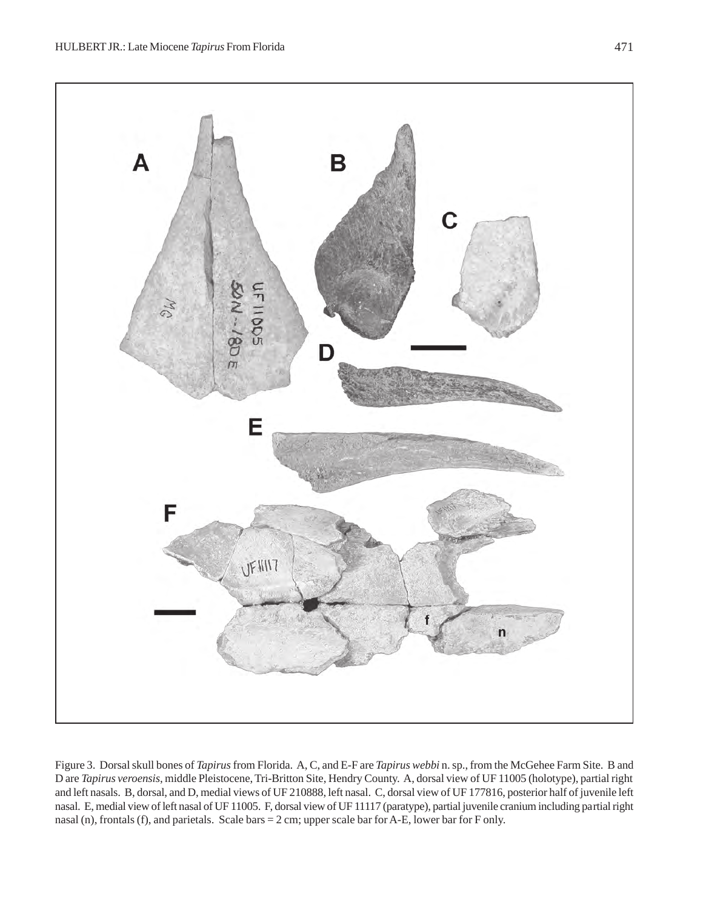

Figure 3. Dorsal skull bones of *Tapirus* from Florida. A, C, and E-F are *Tapirus webbi* n. sp., from the McGehee Farm Site. B and D are *Tapirus veroensis*, middle Pleistocene, Tri-Britton Site, Hendry County. A, dorsal view of UF 11005 (holotype), partial right and left nasals. B, dorsal, and D, medial views of UF 210888, left nasal. C, dorsal view of UF 177816, posterior half of juvenile left nasal. E, medial view of left nasal of UF 11005. F, dorsal view of UF 11117 (paratype), partial juvenile cranium including partial right nasal (n), frontals (f), and parietals. Scale bars = 2 cm; upper scale bar for A-E, lower bar for F only.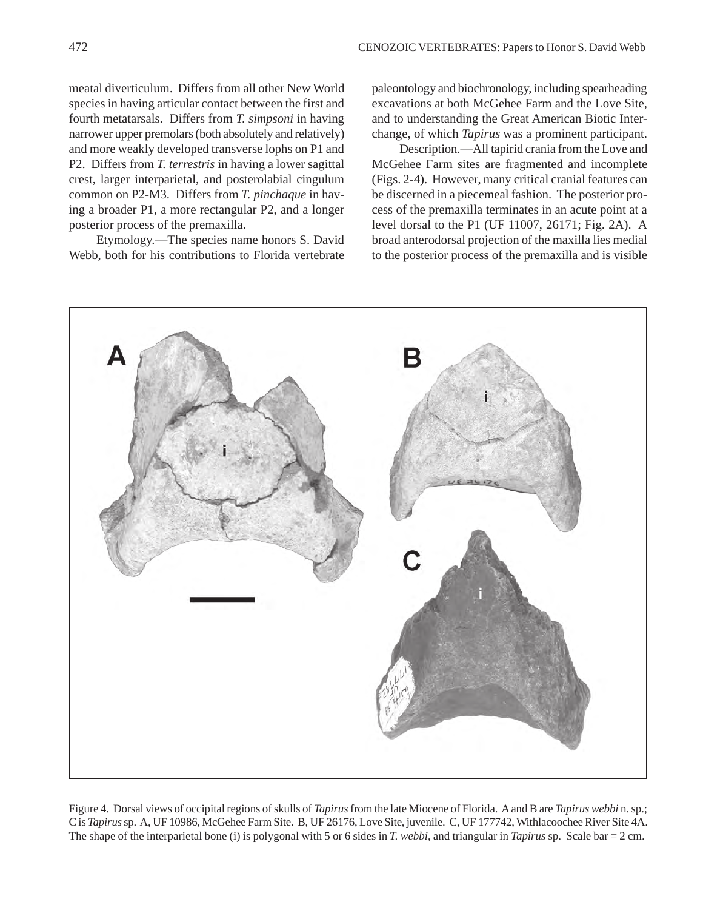meatal diverticulum. Differs from all other New World species in having articular contact between the first and fourth metatarsals. Differs from *T. simpsoni* in having narrower upper premolars (both absolutely and relatively) and more weakly developed transverse lophs on P1 and P2. Differs from *T. terrestris* in having a lower sagittal crest, larger interparietal, and posterolabial cingulum common on P2-M3. Differs from *T. pinchaque* in having a broader P1, a more rectangular P2, and a longer posterior process of the premaxilla.

Etymology.—The species name honors S. David Webb, both for his contributions to Florida vertebrate

paleontology and biochronology, including spearheading excavations at both McGehee Farm and the Love Site, and to understanding the Great American Biotic Interchange, of which *Tapirus* was a prominent participant.

Description.—All tapirid crania from the Love and McGehee Farm sites are fragmented and incomplete (Figs. 2-4). However, many critical cranial features can be discerned in a piecemeal fashion. The posterior process of the premaxilla terminates in an acute point at a level dorsal to the P1 (UF 11007, 26171; Fig. 2A). A broad anterodorsal projection of the maxilla lies medial to the posterior process of the premaxilla and is visible



Figure 4. Dorsal views of occipital regions of skulls of *Tapirus* from the late Miocene of Florida. A and B are *Tapirus webbi* n. sp.; C is *Tapirus* sp. A, UF 10986, McGehee Farm Site. B, UF 26176, Love Site, juvenile. C, UF 177742, Withlacoochee River Site 4A. The shape of the interparietal bone (i) is polygonal with 5 or 6 sides in *T. webbi*, and triangular in *Tapirus* sp. Scale bar = 2 cm.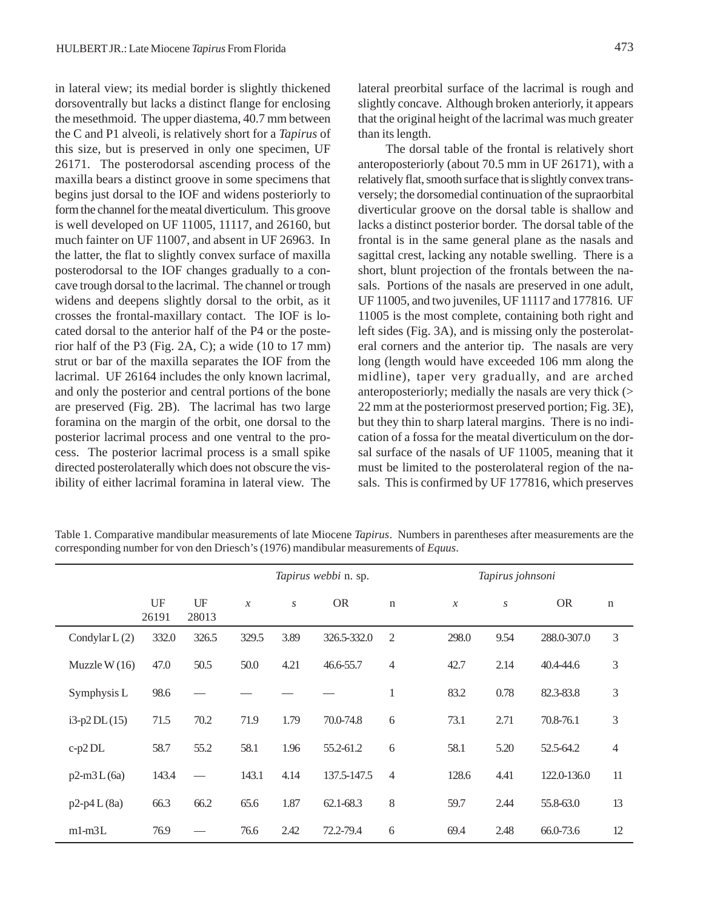in lateral view; its medial border is slightly thickened dorsoventrally but lacks a distinct flange for enclosing the mesethmoid. The upper diastema, 40.7 mm between the C and P1 alveoli, is relatively short for a *Tapirus* of this size, but is preserved in only one specimen, UF 26171. The posterodorsal ascending process of the maxilla bears a distinct groove in some specimens that begins just dorsal to the IOF and widens posteriorly to form the channel for the meatal diverticulum. This groove is well developed on UF 11005, 11117, and 26160, but much fainter on UF 11007, and absent in UF 26963. In the latter, the flat to slightly convex surface of maxilla posterodorsal to the IOF changes gradually to a concave trough dorsal to the lacrimal. The channel or trough widens and deepens slightly dorsal to the orbit, as it crosses the frontal-maxillary contact. The IOF is located dorsal to the anterior half of the P4 or the posterior half of the P3 (Fig. 2A, C); a wide (10 to 17 mm) strut or bar of the maxilla separates the IOF from the lacrimal. UF 26164 includes the only known lacrimal, and only the posterior and central portions of the bone are preserved (Fig. 2B). The lacrimal has two large foramina on the margin of the orbit, one dorsal to the posterior lacrimal process and one ventral to the process. The posterior lacrimal process is a small spike directed posterolaterally which does not obscure the visibility of either lacrimal foramina in lateral view. The

lateral preorbital surface of the lacrimal is rough and slightly concave. Although broken anteriorly, it appears that the original height of the lacrimal was much greater than its length.

The dorsal table of the frontal is relatively short anteroposteriorly (about 70.5 mm in UF 26171), with a relatively flat, smooth surface that is slightly convex transversely; the dorsomedial continuation of the supraorbital diverticular groove on the dorsal table is shallow and lacks a distinct posterior border. The dorsal table of the frontal is in the same general plane as the nasals and sagittal crest, lacking any notable swelling. There is a short, blunt projection of the frontals between the nasals. Portions of the nasals are preserved in one adult, UF 11005, and two juveniles, UF 11117 and 177816. UF 11005 is the most complete, containing both right and left sides (Fig. 3A), and is missing only the posterolateral corners and the anterior tip. The nasals are very long (length would have exceeded 106 mm along the midline), taper very gradually, and are arched anteroposteriorly; medially the nasals are very thick (> 22 mm at the posteriormost preserved portion; Fig. 3E), but they thin to sharp lateral margins. There is no indication of a fossa for the meatal diverticulum on the dorsal surface of the nasals of UF 11005, meaning that it must be limited to the posterolateral region of the nasals. This is confirmed by UF 177816, which preserves

Table 1. Comparative mandibular measurements of late Miocene *Tapirus*. Numbers in parentheses after measurements are the corresponding number for von den Driesch's (1976) mandibular measurements of *Equus*.

|                 |             |             |               |                  | <i>Tapirus webbi</i> n. sp. |                |                            | Tapirus johnsoni |                  |             |             |  |
|-----------------|-------------|-------------|---------------|------------------|-----------------------------|----------------|----------------------------|------------------|------------------|-------------|-------------|--|
|                 | UF<br>26191 | UF<br>28013 | $\mathcal{X}$ | $\boldsymbol{S}$ | <b>OR</b>                   | $\mathbf n$    | $\boldsymbol{\mathcal{X}}$ |                  | $\boldsymbol{S}$ | <b>OR</b>   | $\mathbf n$ |  |
| Condylar $L(2)$ | 332.0       | 326.5       | 329.5         | 3.89             | 326.5-332.0                 | $\overline{2}$ | 298.0                      |                  | 9.54             | 288.0-307.0 | 3           |  |
| Muzzle W $(16)$ | 47.0        | 50.5        | 50.0          | 4.21             | 46.6-55.7                   | $\overline{4}$ | 42.7                       |                  | 2.14             | 40.4-44.6   | 3           |  |
| Symphysis L     | 98.6        |             |               |                  |                             | $\mathbf{1}$   | 83.2                       |                  | 0.78             | 82.3-83.8   | 3           |  |
| $i3-p2 DL(15)$  | 71.5        | 70.2        | 71.9          | 1.79             | 70.0-74.8                   | 6              | 73.1                       |                  | 2.71             | 70.8-76.1   | 3           |  |
| $c-p2DL$        | 58.7        | 55.2        | 58.1          | 1.96             | 55.2-61.2                   | 6              | 58.1                       |                  | 5.20             | 52.5-64.2   | 4           |  |
| $p2-m3L(6a)$    | 143.4       |             | 143.1         | 4.14             | 137.5-147.5                 | $\overline{4}$ | 128.6                      |                  | 4.41             | 122.0-136.0 | 11          |  |
| $p2-p4L(8a)$    | 66.3        | 66.2        | 65.6          | 1.87             | 62.1-68.3                   | 8              | 59.7                       |                  | 2.44             | 55.8-63.0   | 13          |  |
| $m1-m3L$        | 76.9        |             | 76.6          | 2.42             | 72.2-79.4                   | 6              | 69.4                       |                  | 2.48             | 66.0-73.6   | 12          |  |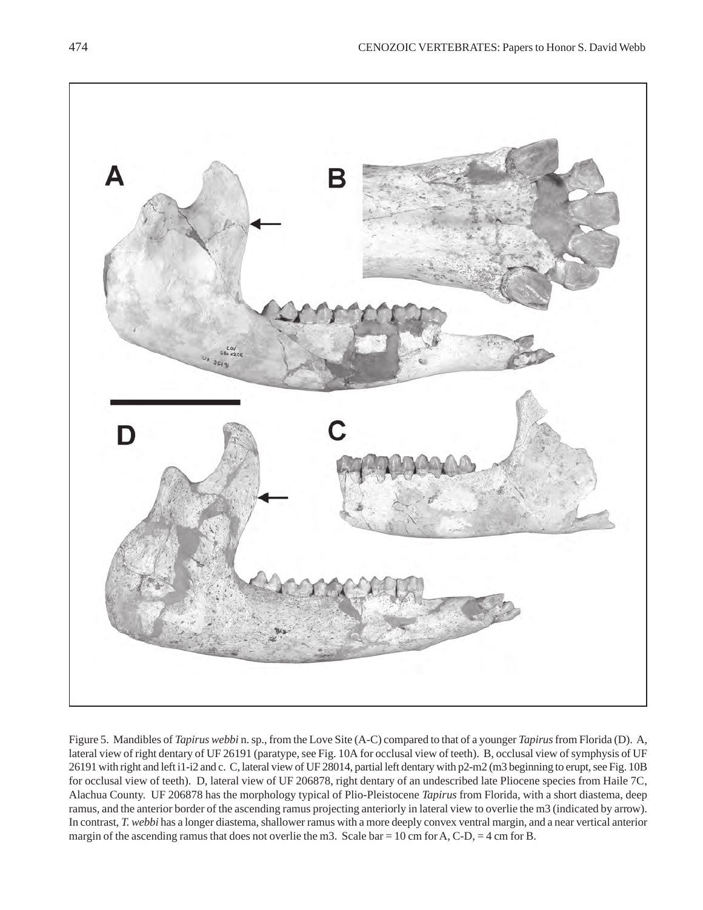

Figure 5. Mandibles of *Tapirus webbi* n. sp., from the Love Site (A-C) compared to that of a younger *Tapirus* from Florida (D). A, lateral view of right dentary of UF 26191 (paratype, see Fig. 10A for occlusal view of teeth). B, occlusal view of symphysis of UF 26191 with right and left i1-i2 and c. C, lateral view of UF 28014, partial left dentary with p2-m2 (m3 beginning to erupt, see Fig. 10B for occlusal view of teeth). D, lateral view of UF 206878, right dentary of an undescribed late Pliocene species from Haile 7C, Alachua County. UF 206878 has the morphology typical of Plio-Pleistocene *Tapirus* from Florida, with a short diastema, deep ramus, and the anterior border of the ascending ramus projecting anteriorly in lateral view to overlie the m3 (indicated by arrow). In contrast, *T. webbi* has a longer diastema, shallower ramus with a more deeply convex ventral margin, and a near vertical anterior margin of the ascending ramus that does not overlie the m3. Scale bar = 10 cm for A, C-D, = 4 cm for B.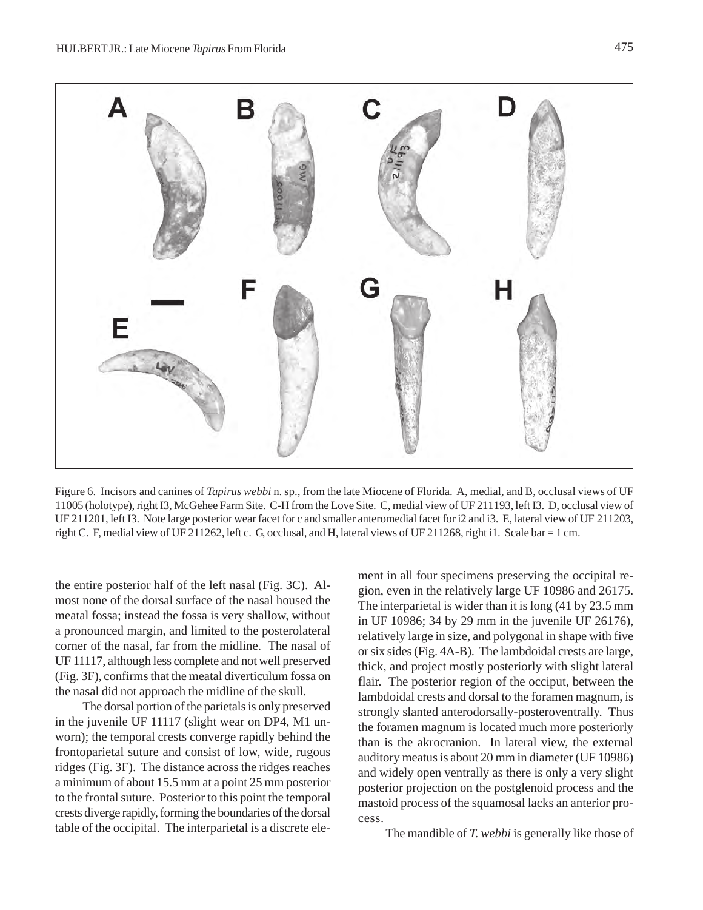

Figure 6. Incisors and canines of *Tapirus webbi* n. sp., from the late Miocene of Florida. A, medial, and B, occlusal views of UF 11005 (holotype), right I3, McGehee Farm Site. C-H from the Love Site. C, medial view of UF 211193, left I3. D, occlusal view of UF 211201, left I3. Note large posterior wear facet for c and smaller anteromedial facet for i2 and i3. E, lateral view of UF 211203, right C. F, medial view of UF 211262, left c. G, occlusal, and H, lateral views of UF 211268, right i1. Scale bar = 1 cm.

the entire posterior half of the left nasal (Fig. 3C). Almost none of the dorsal surface of the nasal housed the meatal fossa; instead the fossa is very shallow, without a pronounced margin, and limited to the posterolateral corner of the nasal, far from the midline. The nasal of UF 11117, although less complete and not well preserved (Fig. 3F), confirms that the meatal diverticulum fossa on the nasal did not approach the midline of the skull.

The dorsal portion of the parietals is only preserved in the juvenile UF 11117 (slight wear on DP4, M1 unworn); the temporal crests converge rapidly behind the frontoparietal suture and consist of low, wide, rugous ridges (Fig. 3F). The distance across the ridges reaches a minimum of about 15.5 mm at a point 25 mm posterior to the frontal suture. Posterior to this point the temporal crests diverge rapidly, forming the boundaries of the dorsal table of the occipital. The interparietal is a discrete ele-

ment in all four specimens preserving the occipital region, even in the relatively large UF 10986 and 26175. The interparietal is wider than it is long (41 by 23.5 mm in UF 10986; 34 by 29 mm in the juvenile UF 26176), relatively large in size, and polygonal in shape with five or six sides (Fig. 4A-B). The lambdoidal crests are large, thick, and project mostly posteriorly with slight lateral flair. The posterior region of the occiput, between the lambdoidal crests and dorsal to the foramen magnum, is strongly slanted anterodorsally-posteroventrally. Thus the foramen magnum is located much more posteriorly than is the akrocranion. In lateral view, the external auditory meatus is about 20 mm in diameter (UF 10986) and widely open ventrally as there is only a very slight posterior projection on the postglenoid process and the mastoid process of the squamosal lacks an anterior process.

The mandible of *T. webbi* is generally like those of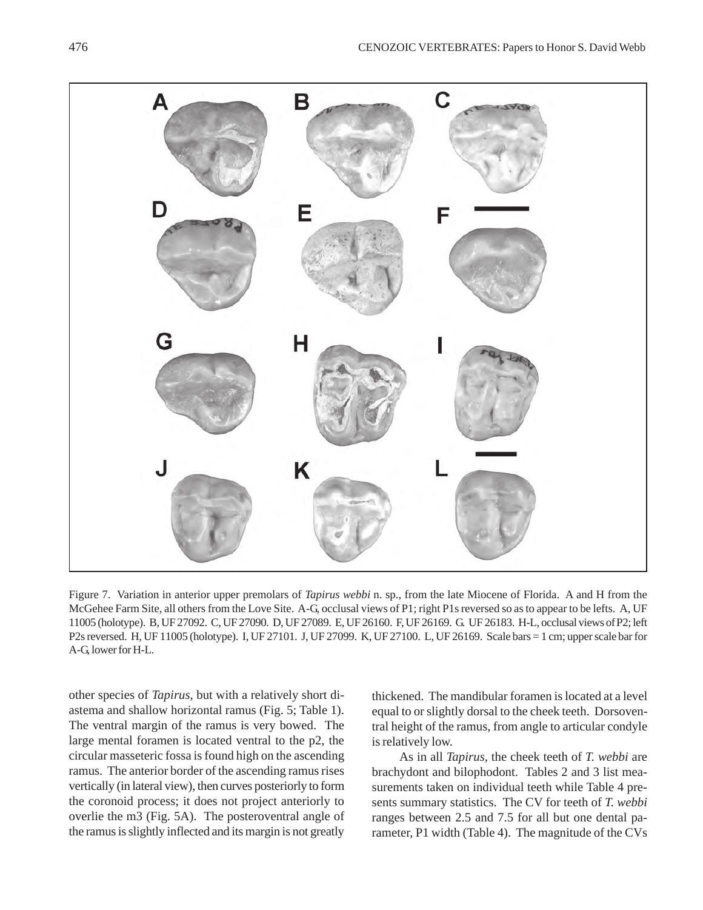

Figure 7. Variation in anterior upper premolars of *Tapirus webbi* n. sp., from the late Miocene of Florida. A and H from the McGehee Farm Site, all others from the Love Site. A-G, occlusal views of P1; right P1s reversed so as to appear to be lefts. A, UF 11005 (holotype). B, UF 27092. C, UF 27090. D, UF 27089. E, UF 26160. F, UF 26169. G. UF 26183. H-L, occlusal views of P2; left P2s reversed. H, UF 11005 (holotype). I, UF 27101. J, UF 27099. K, UF 27100. L, UF 26169. Scale bars = 1 cm; upper scale bar for A-G, lower for H-L.

other species of *Tapirus*, but with a relatively short diastema and shallow horizontal ramus (Fig. 5; Table 1). The ventral margin of the ramus is very bowed. The large mental foramen is located ventral to the p2, the circular masseteric fossa is found high on the ascending ramus. The anterior border of the ascending ramus rises vertically (in lateral view), then curves posteriorly to form the coronoid process; it does not project anteriorly to overlie the m3 (Fig. 5A). The posteroventral angle of the ramus is slightly inflected and its margin is not greatly

thickened. The mandibular foramen is located at a level equal to or slightly dorsal to the cheek teeth. Dorsoventral height of the ramus, from angle to articular condyle is relatively low.

As in all *Tapirus*, the cheek teeth of *T. webbi* are brachydont and bilophodont. Tables 2 and 3 list measurements taken on individual teeth while Table 4 presents summary statistics. The CV for teeth of *T. webbi* ranges between 2.5 and 7.5 for all but one dental parameter, P1 width (Table 4). The magnitude of the CVs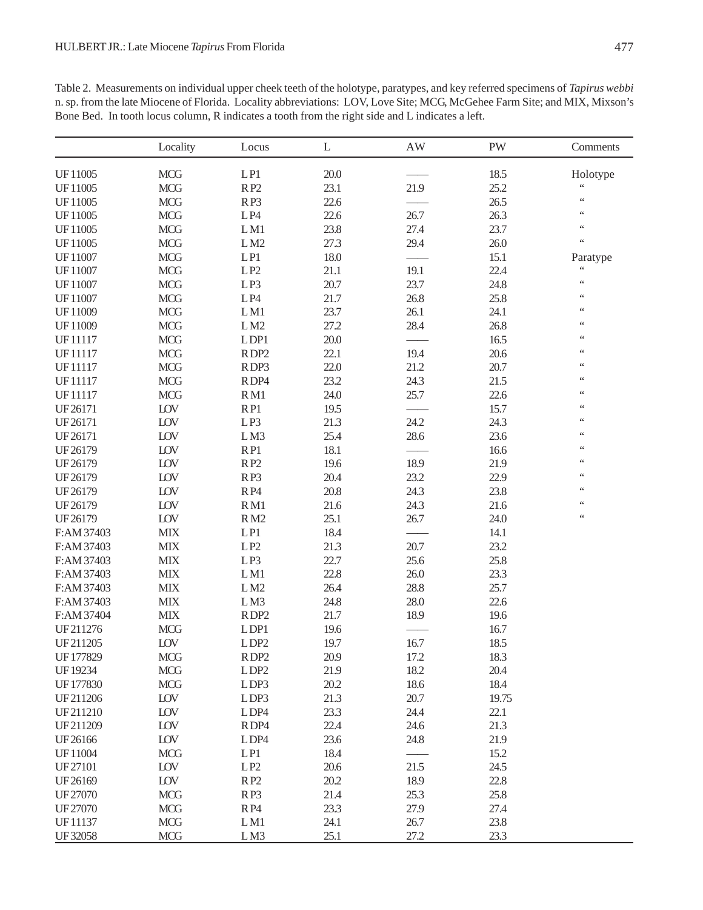Table 2. Measurements on individual upper cheek teeth of the holotype, paratypes, and key referred specimens of *Tapirus webbi* n. sp. from the late Miocene of Florida. Locality abbreviations: LOV, Love Site; MCG, McGehee Farm Site; and MIX, Mixson's Bone Bed. In tooth locus column, R indicates a tooth from the right side and L indicates a left.

|            | Locality   | Locus            | L    | $\mathbf{A}\mathbf{W}$ | PW    | Comments        |
|------------|------------|------------------|------|------------------------|-------|-----------------|
| UF11005    | <b>MCG</b> | LPI              | 20.0 |                        | 18.5  | Holotype        |
| UF11005    | <b>MCG</b> | RP <sub>2</sub>  | 23.1 | 21.9                   | 25.2  | $\zeta$ $\zeta$ |
| UF11005    | <b>MCG</b> | RP3              | 22.6 |                        | 26.5  | $\zeta$ $\zeta$ |
| UF11005    | <b>MCG</b> | LP4              | 22.6 | 26.7                   | 26.3  | $\zeta\,\zeta$  |
| UF11005    | <b>MCG</b> | LM1              | 23.8 | 27.4                   | 23.7  | $\zeta$ $\zeta$ |
| UF11005    | <b>MCG</b> | LM2              | 27.3 | 29.4                   | 26.0  | $\zeta\,\zeta$  |
| UF11007    | <b>MCG</b> | LPI              | 18.0 |                        | 15.1  | Paratype        |
| UF11007    | <b>MCG</b> | LP2              | 21.1 | 19.1                   | 22.4  | $\zeta$ $\zeta$ |
| UF11007    | <b>MCG</b> | LP3              | 20.7 | 23.7                   | 24.8  | $\zeta\,\zeta$  |
| UF11007    | <b>MCG</b> | LP4              | 21.7 | 26.8                   | 25.8  | $\zeta\,\zeta$  |
| UF11009    | <b>MCG</b> | LM1              | 23.7 | 26.1                   | 24.1  | $\zeta\,\zeta$  |
| UF11009    | <b>MCG</b> | LM2              | 27.2 | 28.4                   | 26.8  | $\zeta$ $\zeta$ |
| UF11117    | <b>MCG</b> | LDP1             | 20.0 |                        | 16.5  | $\zeta\,\zeta$  |
| UF11117    | <b>MCG</b> | RDP <sub>2</sub> | 22.1 | 19.4                   | 20.6  | $\zeta$ $\zeta$ |
| UF11117    | <b>MCG</b> | RDP3             | 22.0 | 21.2                   | 20.7  | $\zeta$ $\zeta$ |
| UF11117    | <b>MCG</b> | RDP4             | 23.2 | 24.3                   | 21.5  | $\zeta$ $\zeta$ |
| UF11117    | <b>MCG</b> | RM1              | 24.0 | 25.7                   | 22.6  | $\zeta$ $\zeta$ |
| UF26171    | LOV        | RP1              | 19.5 |                        | 15.7  | $\zeta$ $\zeta$ |
| UF26171    | LOV        | LP3              | 21.3 | 24.2                   | 24.3  | $\zeta$ $\zeta$ |
| UF26171    | LOV        | LM3              | 25.4 | 28.6                   | 23.6  | $\zeta$ $\zeta$ |
| UF26179    | LOV        | RP1              | 18.1 |                        | 16.6  | $\zeta$ $\zeta$ |
| UF26179    | LOV        | RP2              | 19.6 | 18.9                   | 21.9  | $\zeta$ $\zeta$ |
| UF26179    | LOV        | RP3              | 20.4 | 23.2                   | 22.9  | $\zeta$ $\zeta$ |
| UF26179    | LOV        | RP4              | 20.8 | 24.3                   | 23.8  | $\zeta$ $\zeta$ |
| UF26179    | LOV        | RM1              | 21.6 | 24.3                   | 21.6  | $\zeta$ $\zeta$ |
| UF26179    | LOV        | RM2              | 25.1 | 26.7                   | 24.0  | $\zeta\,\zeta$  |
| F:AM 37403 | <b>MIX</b> | LPI              | 18.4 |                        | 14.1  |                 |
| F:AM 37403 | <b>MIX</b> | LP2              | 21.3 | 20.7                   | 23.2  |                 |
| F:AM 37403 | <b>MIX</b> | LP3              | 22.7 | 25.6                   | 25.8  |                 |
| F:AM 37403 | <b>MIX</b> | LM1              | 22.8 | 26.0                   | 23.3  |                 |
| F:AM 37403 | <b>MIX</b> | LM2              | 26.4 | 28.8                   | 25.7  |                 |
| F:AM 37403 | <b>MIX</b> | LM3              | 24.8 | 28.0                   | 22.6  |                 |
| F:AM 37404 | <b>MIX</b> | RDP <sub>2</sub> | 21.7 | 18.9                   | 19.6  |                 |
| UF211276   | <b>MCG</b> | LDP1             | 19.6 |                        | 16.7  |                 |
| UF211205   | LOV        | LDP <sub>2</sub> | 19.7 | 16.7                   | 18.5  |                 |
| UF177829   | <b>MCG</b> | RDP <sub>2</sub> | 20.9 | 17.2                   | 18.3  |                 |
| UF19234    | <b>MCG</b> | LDP <sub>2</sub> | 21.9 | 18.2                   | 20.4  |                 |
| UF177830   | <b>MCG</b> | LDP3             | 20.2 | 18.6                   | 18.4  |                 |
| UF211206   | LOV        | LDP3             | 21.3 | 20.7                   | 19.75 |                 |
| UF211210   | LOV        | LDP4             | 23.3 | 24.4                   | 22.1  |                 |
| UF211209   | LOV        | RDP4             | 22.4 | 24.6                   | 21.3  |                 |
| UF26166    | LOV        | LDP4             | 23.6 | 24.8                   | 21.9  |                 |
| UF11004    | <b>MCG</b> | LPI              | 18.4 |                        | 15.2  |                 |
| UF27101    | LOV        | LP2              | 20.6 | 21.5                   | 24.5  |                 |
| UF26169    | LOV        | RP <sub>2</sub>  | 20.2 | 18.9                   | 22.8  |                 |
| UF27070    | <b>MCG</b> | RP3              | 21.4 | 25.3                   | 25.8  |                 |
| UF27070    | <b>MCG</b> | RP4              | 23.3 | 27.9                   | 27.4  |                 |
| UF11137    | <b>MCG</b> | LM1              | 24.1 | 26.7                   | 23.8  |                 |
| UF32058    | <b>MCG</b> | LM3              | 25.1 | 27.2                   | 23.3  |                 |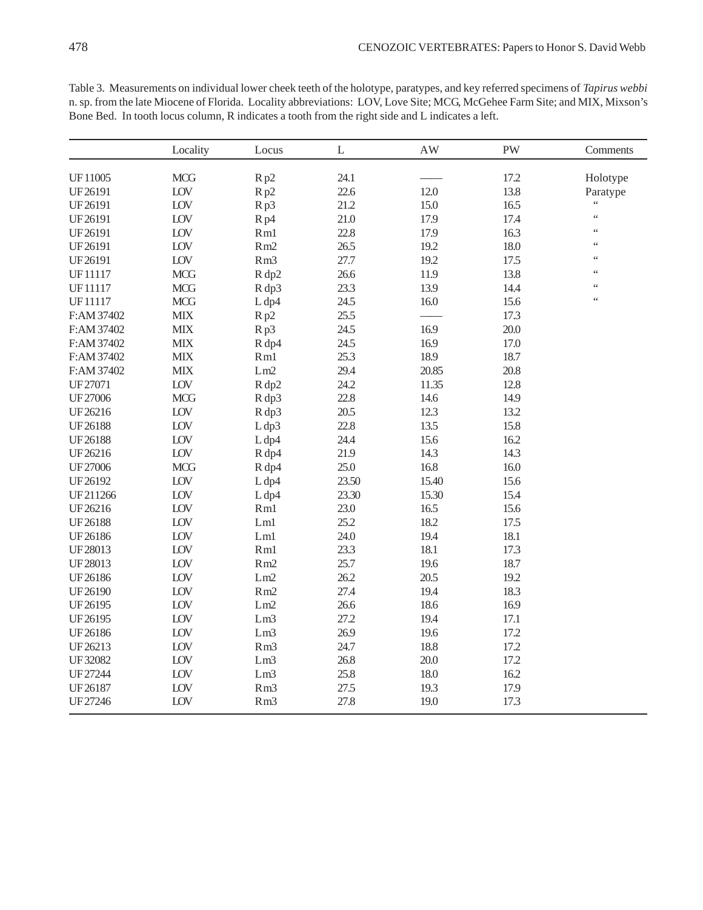|                | Locality    | Locus                      | $\mathbf L$ | $\mathbf{A}\mathbf{W}$ | PW   | Comments        |
|----------------|-------------|----------------------------|-------------|------------------------|------|-----------------|
|                |             |                            |             |                        |      |                 |
| UF11005        | <b>MCG</b>  | Rp2                        | 24.1        |                        | 17.2 | Holotype        |
| UF26191        | ${\rm LOV}$ | Rp2                        | 22.6        | 12.0                   | 13.8 | Paratype        |
| UF26191        | LOV         | Rp3                        | 21.2        | 15.0                   | 16.5 | $\zeta$ $\zeta$ |
| UF26191        | LOV         | R <sub>p4</sub>            | 21.0        | 17.9                   | 17.4 | $\zeta$ $\zeta$ |
| UF26191        | LOV         | Rm1                        | 22.8        | 17.9                   | 16.3 | $\zeta$ $\zeta$ |
| UF26191        | LOV         | Rm2                        | 26.5        | 19.2                   | 18.0 | $\zeta$ $\zeta$ |
| UF26191        | LOV         | Rm3                        | 27.7        | 19.2                   | 17.5 | $\zeta$ $\zeta$ |
| UF11117        | <b>MCG</b>  | R dp2                      | 26.6        | 11.9                   | 13.8 | $\zeta$ $\zeta$ |
| UF11117        | <b>MCG</b>  | R dp3                      | 23.3        | 13.9                   | 14.4 | $\zeta$ $\zeta$ |
| UF11117        | <b>MCG</b>  | L dp4                      | 24.5        | 16.0                   | 15.6 | $\zeta$ $\zeta$ |
| F:AM 37402     | <b>MIX</b>  | Rp2                        | 25.5        |                        | 17.3 |                 |
| F:AM 37402     | <b>MIX</b>  | Rp3                        | 24.5        | 16.9                   | 20.0 |                 |
| F:AM 37402     | <b>MIX</b>  | R dp4                      | 24.5        | 16.9                   | 17.0 |                 |
| F:AM 37402     | <b>MIX</b>  | Rm1                        | 25.3        | 18.9                   | 18.7 |                 |
| F:AM 37402     | <b>MIX</b>  | Lm2                        | 29.4        | 20.85                  | 20.8 |                 |
| UF27071        | LOV         | R dp2                      | 24.2        | 11.35                  | 12.8 |                 |
| UF27006        | <b>MCG</b>  | R dp3                      | 22.8        | 14.6                   | 14.9 |                 |
| UF26216        | LOV         | R dp3                      | 20.5        | 12.3                   | 13.2 |                 |
| <b>UF26188</b> | LOV         | L dp3                      | 22.8        | 13.5                   | 15.8 |                 |
| <b>UF26188</b> | LOV         | L dp4                      | 24.4        | 15.6                   | 16.2 |                 |
| UF26216        | LOV         | R dp4                      | 21.9        | 14.3                   | 14.3 |                 |
| <b>UF27006</b> | <b>MCG</b>  | R dp4                      | 25.0        | 16.8                   | 16.0 |                 |
| UF26192        | ${\rm LOV}$ | L dp4                      | 23.50       | 15.40                  | 15.6 |                 |
| UF211266       | LOV         | L dp4                      | 23.30       | 15.30                  | 15.4 |                 |
| UF26216        | LOV         | Rm1                        | 23.0        | 16.5                   | 15.6 |                 |
| <b>UF26188</b> | ${\rm LOV}$ | $\mathop{\rm Lm}\nolimits$ | 25.2        | 18.2                   | 17.5 |                 |
| UF26186        | LOV         | Lm1                        | 24.0        | 19.4                   | 18.1 |                 |
| UF28013        | LOV         | Rm1                        | 23.3        | 18.1                   | 17.3 |                 |
| UF28013        | LOV         | Rm2                        | 25.7        | 19.6                   | 18.7 |                 |
| UF26186        | LOV         | ${\rm Lm2}$                | 26.2        | 20.5                   | 19.2 |                 |
| UF26190        | LOV         | Rm2                        | 27.4        | 19.4                   | 18.3 |                 |
| UF26195        | LOV         | Lm2                        | 26.6        | 18.6                   | 16.9 |                 |
| UF26195        | ${\rm LOV}$ | Lm <sub>3</sub>            | 27.2        | 19.4                   | 17.1 |                 |
| UF26186        | LOV         | Lm3                        | 26.9        | 19.6                   | 17.2 |                 |
| UF26213        | LOV         | Rm <sub>3</sub>            | 24.7        | 18.8                   | 17.2 |                 |
| UF32082        | LOV         | Lm <sub>3</sub>            | 26.8        | 20.0                   | 17.2 |                 |
| UF27244        | ${\rm LOV}$ | Lm <sub>3</sub>            | 25.8        | 18.0                   | 16.2 |                 |
| UF26187        | LOV         | Rm <sub>3</sub>            | 27.5        | 19.3                   | 17.9 |                 |
| UF27246        | LOV         | Rm3                        | 27.8        | 19.0                   | 17.3 |                 |

Table 3. Measurements on individual lower cheek teeth of the holotype, paratypes, and key referred specimens of *Tapirus webbi* n. sp. from the late Miocene of Florida. Locality abbreviations: LOV, Love Site; MCG, McGehee Farm Site; and MIX, Mixson's Bone Bed. In tooth locus column, R indicates a tooth from the right side and L indicates a left.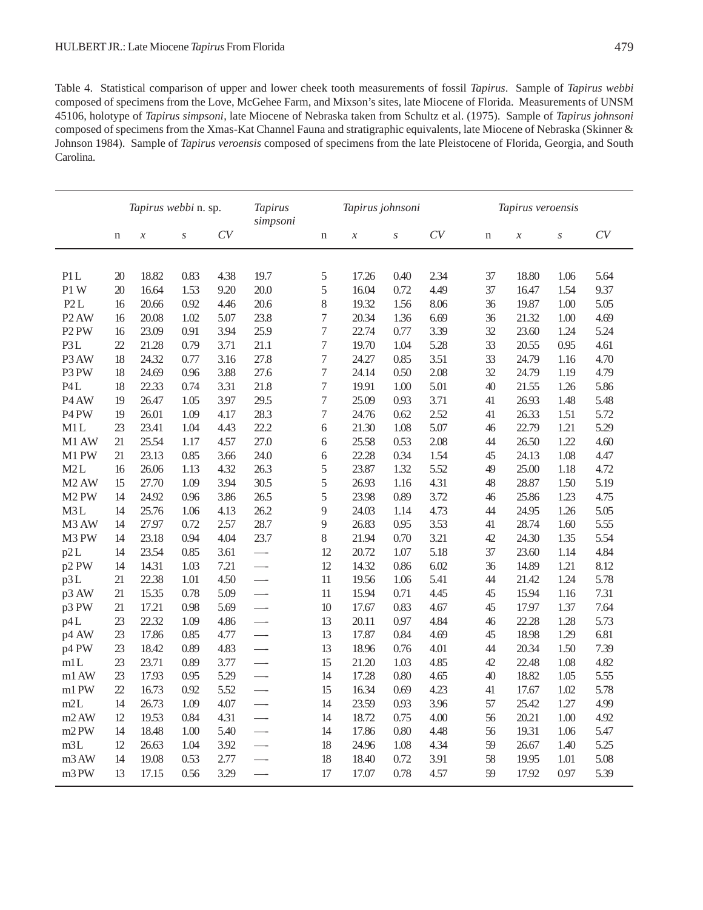Table 4. Statistical comparison of upper and lower cheek tooth measurements of fossil *Tapirus*. Sample of *Tapirus webbi* composed of specimens from the Love, McGehee Farm, and Mixson's sites, late Miocene of Florida. Measurements of UNSM 45106, holotype of *Tapirus simpsoni*, late Miocene of Nebraska taken from Schultz et al. (1975). Sample of *Tapirus johnsoni* composed of specimens from the Xmas-Kat Channel Fauna and stratigraphic equivalents, late Miocene of Nebraska (Skinner & Johnson 1984). Sample of *Tapirus veroensis* composed of specimens from the late Pleistocene of Florida, Georgia, and South Carolina.

|                               |    | Tapirus webbi n. sp.       |                  |      | <b>Tapirus</b><br>simpsoni | Tapirus johnsoni |                            |                  |      | Tapirus veroensis |                            |      |      |
|-------------------------------|----|----------------------------|------------------|------|----------------------------|------------------|----------------------------|------------------|------|-------------------|----------------------------|------|------|
|                               | n  | $\boldsymbol{\mathcal{X}}$ | $\boldsymbol{S}$ | CV   |                            | $\mathbf n$      | $\boldsymbol{\mathcal{X}}$ | $\boldsymbol{S}$ | CV   | n                 | $\boldsymbol{\mathcal{X}}$ | S    | CV   |
|                               |    |                            |                  |      |                            |                  |                            |                  |      |                   |                            |      |      |
| P1L                           | 20 | 18.82                      | 0.83             | 4.38 | 19.7                       | $\sqrt{5}$       | 17.26                      | 0.40             | 2.34 | 37                | 18.80                      | 1.06 | 5.64 |
| P1W                           | 20 | 16.64                      | 1.53             | 9.20 | 20.0                       | 5                | 16.04                      | 0.72             | 4.49 | 37                | 16.47                      | 1.54 | 9.37 |
| P2L                           | 16 | 20.66                      | 0.92             | 4.46 | 20.6                       | $8\,$            | 19.32                      | 1.56             | 8.06 | 36                | 19.87                      | 1.00 | 5.05 |
| P <sub>2</sub> AW             | 16 | 20.08                      | 1.02             | 5.07 | 23.8                       | $\boldsymbol{7}$ | 20.34                      | 1.36             | 6.69 | 36                | 21.32                      | 1.00 | 4.69 |
| P <sub>2</sub> PW             | 16 | 23.09                      | 0.91             | 3.94 | 25.9                       | $\boldsymbol{7}$ | 22.74                      | 0.77             | 3.39 | 32                | 23.60                      | 1.24 | 5.24 |
| P3L                           | 22 | 21.28                      | 0.79             | 3.71 | 21.1                       | 7                | 19.70                      | 1.04             | 5.28 | 33                | 20.55                      | 0.95 | 4.61 |
| P <sub>3</sub> AW             | 18 | 24.32                      | 0.77             | 3.16 | 27.8                       | $\boldsymbol{7}$ | 24.27                      | 0.85             | 3.51 | 33                | 24.79                      | 1.16 | 4.70 |
| P3 PW                         | 18 | 24.69                      | 0.96             | 3.88 | 27.6                       | $\boldsymbol{7}$ | 24.14                      | 0.50             | 2.08 | 32                | 24.79                      | 1.19 | 4.79 |
| P4L                           | 18 | 22.33                      | 0.74             | 3.31 | 21.8                       | $\boldsymbol{7}$ | 19.91                      | 1.00             | 5.01 | 40                | 21.55                      | 1.26 | 5.86 |
| P <sub>4</sub> AW             | 19 | 26.47                      | 1.05             | 3.97 | 29.5                       | $\boldsymbol{7}$ | 25.09                      | 0.93             | 3.71 | 41                | 26.93                      | 1.48 | 5.48 |
| P <sub>4</sub> P <sub>W</sub> | 19 | 26.01                      | 1.09             | 4.17 | 28.3                       | $\boldsymbol{7}$ | 24.76                      | 0.62             | 2.52 | 41                | 26.33                      | 1.51 | 5.72 |
| M1L                           | 23 | 23.41                      | 1.04             | 4.43 | 22.2                       | 6                | 21.30                      | 1.08             | 5.07 | 46                | 22.79                      | 1.21 | 5.29 |
| M <sub>1</sub> AW             | 21 | 25.54                      | 1.17             | 4.57 | 27.0                       | 6                | 25.58                      | 0.53             | 2.08 | 44                | 26.50                      | 1.22 | 4.60 |
| M1 PW                         | 21 | 23.13                      | 0.85             | 3.66 | 24.0                       | $6\,$            | 22.28                      | 0.34             | 1.54 | 45                | 24.13                      | 1.08 | 4.47 |
| M2L                           | 16 | 26.06                      | 1.13             | 4.32 | 26.3                       | 5                | 23.87                      | 1.32             | 5.52 | 49                | 25.00                      | 1.18 | 4.72 |
| M <sub>2</sub> AW             | 15 | 27.70                      | 1.09             | 3.94 | 30.5                       | 5                | 26.93                      | 1.16             | 4.31 | 48                | 28.87                      | 1.50 | 5.19 |
| M <sub>2</sub> PW             | 14 | 24.92                      | 0.96             | 3.86 | 26.5                       | 5                | 23.98                      | 0.89             | 3.72 | 46                | 25.86                      | 1.23 | 4.75 |
| M3L                           | 14 | 25.76                      | 1.06             | 4.13 | 26.2                       | $\overline{9}$   | 24.03                      | 1.14             | 4.73 | 44                | 24.95                      | 1.26 | 5.05 |
| M <sub>3</sub> AW             | 14 | 27.97                      | 0.72             | 2.57 | 28.7                       | $\overline{9}$   | 26.83                      | 0.95             | 3.53 | 41                | 28.74                      | 1.60 | 5.55 |
| M3 PW                         | 14 | 23.18                      | 0.94             | 4.04 | 23.7                       | 8                | 21.94                      | 0.70             | 3.21 | 42                | 24.30                      | 1.35 | 5.54 |
| p2L                           | 14 | 23.54                      | 0.85             | 3.61 | $\overline{\phantom{0}}$   | 12               | 20.72                      | 1.07             | 5.18 | 37                | 23.60                      | 1.14 | 4.84 |
| p2 PW                         | 14 | 14.31                      | 1.03             | 7.21 |                            | 12               | 14.32                      | 0.86             | 6.02 | 36                | 14.89                      | 1.21 | 8.12 |
| p3L                           | 21 | 22.38                      | 1.01             | 4.50 |                            | 11               | 19.56                      | 1.06             | 5.41 | 44                | 21.42                      | 1.24 | 5.78 |
| p3 AW                         | 21 | 15.35                      | 0.78             | 5.09 | $\overline{\phantom{0}}$   | 11               | 15.94                      | 0.71             | 4.45 | 45                | 15.94                      | 1.16 | 7.31 |
| p3 PW                         | 21 | 17.21                      | 0.98             | 5.69 | $\overline{\phantom{0}}$   | 10               | 17.67                      | 0.83             | 4.67 | 45                | 17.97                      | 1.37 | 7.64 |
| p4L                           | 23 | 22.32                      | 1.09             | 4.86 | $\overline{\phantom{0}}$   | 13               | 20.11                      | 0.97             | 4.84 | 46                | 22.28                      | 1.28 | 5.73 |
| p4 AW                         | 23 | 17.86                      | 0.85             | 4.77 | $\overline{\phantom{0}}$   | 13               | 17.87                      | 0.84             | 4.69 | 45                | 18.98                      | 1.29 | 6.81 |
| p4 PW                         | 23 | 18.42                      | 0.89             | 4.83 |                            | 13               | 18.96                      | 0.76             | 4.01 | 44                | 20.34                      | 1.50 | 7.39 |
| m1L                           | 23 | 23.71                      | 0.89             | 3.77 |                            | 15               | 21.20                      | 1.03             | 4.85 | 42                | 22.48                      | 1.08 | 4.82 |
| m1 AW                         | 23 | 17.93                      | 0.95             | 5.29 |                            | 14               | 17.28                      | 0.80             | 4.65 | 40                | 18.82                      | 1.05 | 5.55 |
| m1 PW                         | 22 | 16.73                      | 0.92             | 5.52 | $\overline{\phantom{0}}$   | 15               | 16.34                      | 0.69             | 4.23 | 41                | 17.67                      | 1.02 | 5.78 |
| m2L                           | 14 | 26.73                      | 1.09             | 4.07 | $\overline{\phantom{0}}$   | 14               | 23.59                      | 0.93             | 3.96 | 57                | 25.42                      | 1.27 | 4.99 |
| m2AW                          | 12 | 19.53                      | 0.84             | 4.31 |                            | 14               | 18.72                      | 0.75             | 4.00 | 56                | 20.21                      | 1.00 | 4.92 |
| m <sub>2</sub> PW             | 14 | 18.48                      | 1.00             | 5.40 |                            | 14               | 17.86                      | 0.80             | 4.48 | 56                | 19.31                      | 1.06 | 5.47 |
| m3L                           | 12 | 26.63                      | 1.04             | 3.92 | $\overline{\phantom{0}}$   | 18               | 24.96                      | 1.08             | 4.34 | 59                | 26.67                      | 1.40 | 5.25 |
| m <sub>3</sub> AW             | 14 | 19.08                      | 0.53             | 2.77 |                            | 18               | 18.40                      | 0.72             | 3.91 | 58                | 19.95                      | 1.01 | 5.08 |
| m <sub>3</sub> PW             | 13 | 17.15                      | 0.56             | 3.29 |                            | 17               | 17.07                      | 0.78             | 4.57 | 59                | 17.92                      | 0.97 | 5.39 |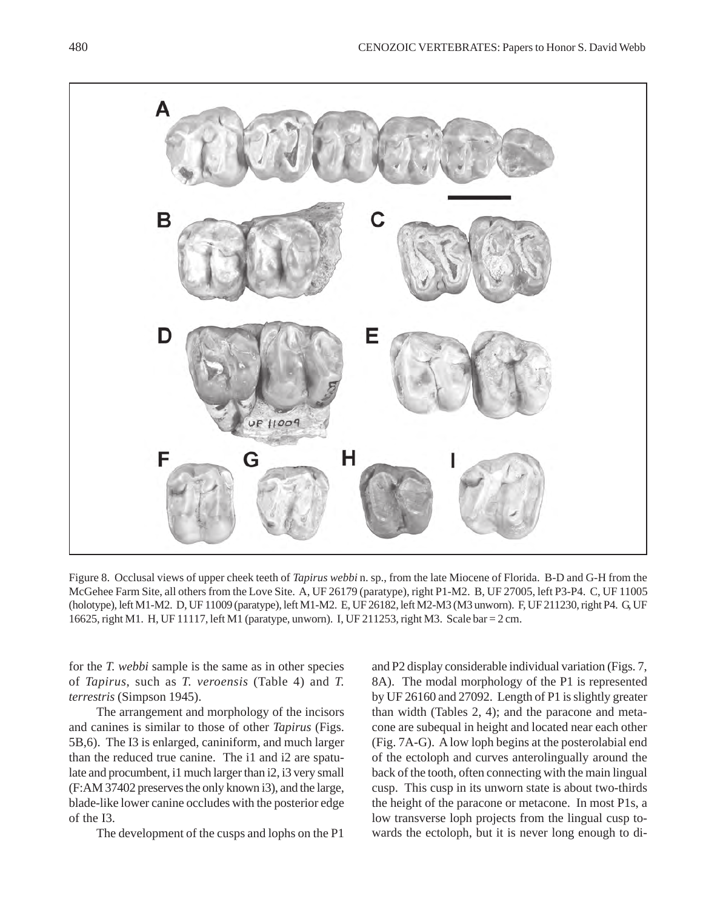

Figure 8. Occlusal views of upper cheek teeth of *Tapirus webbi* n. sp., from the late Miocene of Florida. B-D and G-H from the McGehee Farm Site, all others from the Love Site. A, UF 26179 (paratype), right P1-M2. B, UF 27005, left P3-P4. C, UF 11005 (holotype), left M1-M2. D, UF 11009 (paratype), left M1-M2. E, UF 26182, left M2-M3 (M3 unworn). F, UF 211230, right P4. G, UF 16625, right M1. H, UF 11117, left M1 (paratype, unworn). I, UF 211253, right M3. Scale bar = 2 cm.

for the *T. webbi* sample is the same as in other species of *Tapirus*, such as *T. veroensis* (Table 4) and *T. terrestris* (Simpson 1945).

The arrangement and morphology of the incisors and canines is similar to those of other *Tapirus* (Figs. 5B,6). The I3 is enlarged, caniniform, and much larger than the reduced true canine. The i1 and i2 are spatulate and procumbent, i1 much larger than i2, i3 very small (F:AM 37402 preserves the only known i3), and the large, blade-like lower canine occludes with the posterior edge of the I3.

The development of the cusps and lophs on the P1

and P2 display considerable individual variation (Figs. 7, 8A). The modal morphology of the P1 is represented by UF 26160 and 27092. Length of P1 is slightly greater than width (Tables 2, 4); and the paracone and metacone are subequal in height and located near each other (Fig. 7A-G). A low loph begins at the posterolabial end of the ectoloph and curves anterolingually around the back of the tooth, often connecting with the main lingual cusp. This cusp in its unworn state is about two-thirds the height of the paracone or metacone. In most P1s, a low transverse loph projects from the lingual cusp towards the ectoloph, but it is never long enough to di-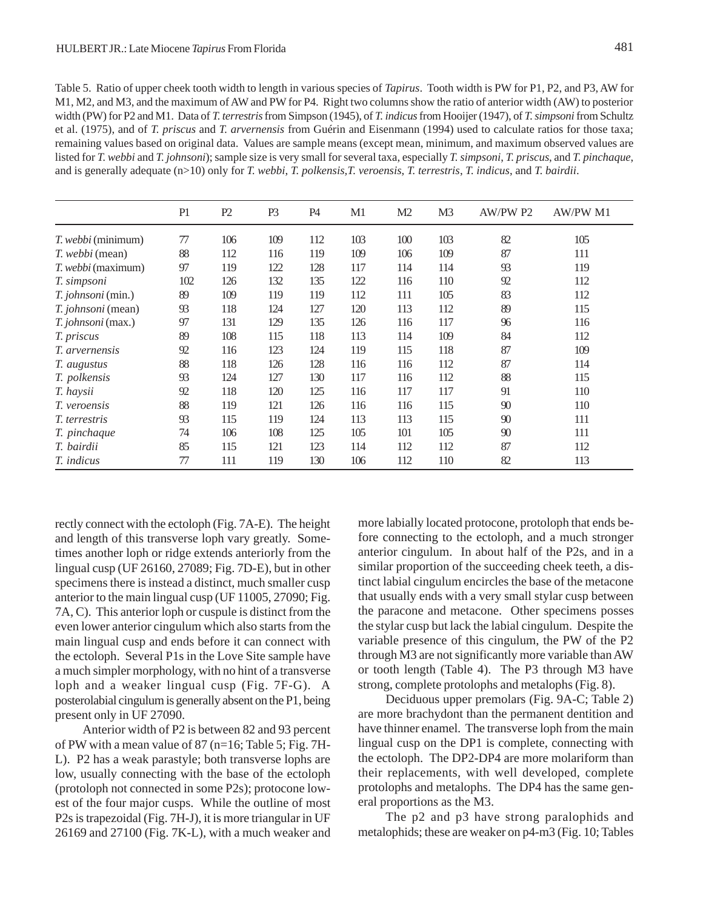Table 5. Ratio of upper cheek tooth width to length in various species of *Tapirus*. Tooth width is PW for P1, P2, and P3, AW for M1, M2, and M3, and the maximum of AW and PW for P4. Right two columns show the ratio of anterior width (AW) to posterior width (PW) for P2 and M1. Data of *T. terrestris* from Simpson (1945), of *T. indicus* from Hooijer (1947), of *T. simpsoni* from Schultz et al. (1975), and of *T. priscus* and *T. arvernensis* from Guérin and Eisenmann (1994) used to calculate ratios for those taxa; remaining values based on original data. Values are sample means (except mean, minimum, and maximum observed values are listed for *T. webbi* and *T. johnsoni*); sample size is very small for several taxa, especially *T. simpsoni*, *T. priscus*, and *T. pinchaque*, and is generally adequate (n>10) only for *T. webbi*, *T. polkensis,T. veroensis*, *T. terrestris*, *T. indicus*, and *T. bairdii*.

|                           | P1  | P2  | P <sub>3</sub> | P4  | M1  | M <sub>2</sub> | M3  | AW/PW P2 | <b>AW/PW M1</b> |
|---------------------------|-----|-----|----------------|-----|-----|----------------|-----|----------|-----------------|
| <i>T. webbi</i> (minimum) | 77  | 106 | 109            | 112 | 103 | 100            | 103 | 82       | 105             |
| <i>T. webbi</i> (mean)    | 88  | 112 | 116            | 119 | 109 | 106            | 109 | 87       | 111             |
| <i>T. webbi</i> (maximum) | 97  | 119 | 122            | 128 | 117 | 114            | 114 | 93       | 119             |
| T. simpsoni               | 102 | 126 | 132            | 135 | 122 | 116            | 110 | 92       | 112             |
| <i>T. johnsoni</i> (min.) | 89  | 109 | 119            | 119 | 112 | 111            | 105 | 83       | 112             |
| T. johnsoni (mean)        | 93  | 118 | 124            | 127 | 120 | 113            | 112 | 89       | 115             |
| T. johnsoni (max.)        | 97  | 131 | 129            | 135 | 126 | 116            | 117 | 96       | 116             |
| T. priscus                | 89  | 108 | 115            | 118 | 113 | 114            | 109 | 84       | 112             |
| <i>T. arvernensis</i>     | 92  | 116 | 123            | 124 | 119 | 115            | 118 | 87       | 109             |
| T. augustus               | 88  | 118 | 126            | 128 | 116 | 116            | 112 | 87       | 114             |
| T. polkensis              | 93  | 124 | 127            | 130 | 117 | 116            | 112 | 88       | 115             |
| T. haysii                 | 92  | 118 | 120            | 125 | 116 | 117            | 117 | 91       | 110             |
| <i>T.</i> veroensis       | 88  | 119 | 121            | 126 | 116 | 116            | 115 | 90       | 110             |
| <i>T.</i> terrestris      | 93  | 115 | 119            | 124 | 113 | 113            | 115 | 90       | 111             |
| T. pinchaque              | 74  | 106 | 108            | 125 | 105 | 101            | 105 | 90       | 111             |
| T. bairdii                | 85  | 115 | 121            | 123 | 114 | 112            | 112 | 87       | 112             |
| T. indicus                | 77  | 111 | 119            | 130 | 106 | 112            | 110 | 82       | 113             |

rectly connect with the ectoloph (Fig. 7A-E). The height and length of this transverse loph vary greatly. Sometimes another loph or ridge extends anteriorly from the lingual cusp (UF 26160, 27089; Fig. 7D-E), but in other specimens there is instead a distinct, much smaller cusp anterior to the main lingual cusp (UF 11005, 27090; Fig. 7A, C). This anterior loph or cuspule is distinct from the even lower anterior cingulum which also starts from the main lingual cusp and ends before it can connect with the ectoloph. Several P1s in the Love Site sample have a much simpler morphology, with no hint of a transverse loph and a weaker lingual cusp (Fig. 7F-G). A posterolabial cingulum is generally absent on the P1, being present only in UF 27090.

Anterior width of P2 is between 82 and 93 percent of PW with a mean value of 87 ( $n=16$ ; Table 5; Fig. 7H-L). P2 has a weak parastyle; both transverse lophs are low, usually connecting with the base of the ectoloph (protoloph not connected in some P2s); protocone lowest of the four major cusps. While the outline of most P2s is trapezoidal (Fig. 7H-J), it is more triangular in UF 26169 and 27100 (Fig. 7K-L), with a much weaker and more labially located protocone, protoloph that ends before connecting to the ectoloph, and a much stronger anterior cingulum. In about half of the P2s, and in a similar proportion of the succeeding cheek teeth, a distinct labial cingulum encircles the base of the metacone that usually ends with a very small stylar cusp between the paracone and metacone. Other specimens posses the stylar cusp but lack the labial cingulum. Despite the variable presence of this cingulum, the PW of the P2 through M3 are not significantly more variable than AW or tooth length (Table 4). The P3 through M3 have strong, complete protolophs and metalophs (Fig. 8).

Deciduous upper premolars (Fig. 9A-C; Table 2) are more brachydont than the permanent dentition and have thinner enamel. The transverse loph from the main lingual cusp on the DP1 is complete, connecting with the ectoloph. The DP2-DP4 are more molariform than their replacements, with well developed, complete protolophs and metalophs. The DP4 has the same general proportions as the M3.

The p2 and p3 have strong paralophids and metalophids; these are weaker on p4-m3 (Fig. 10; Tables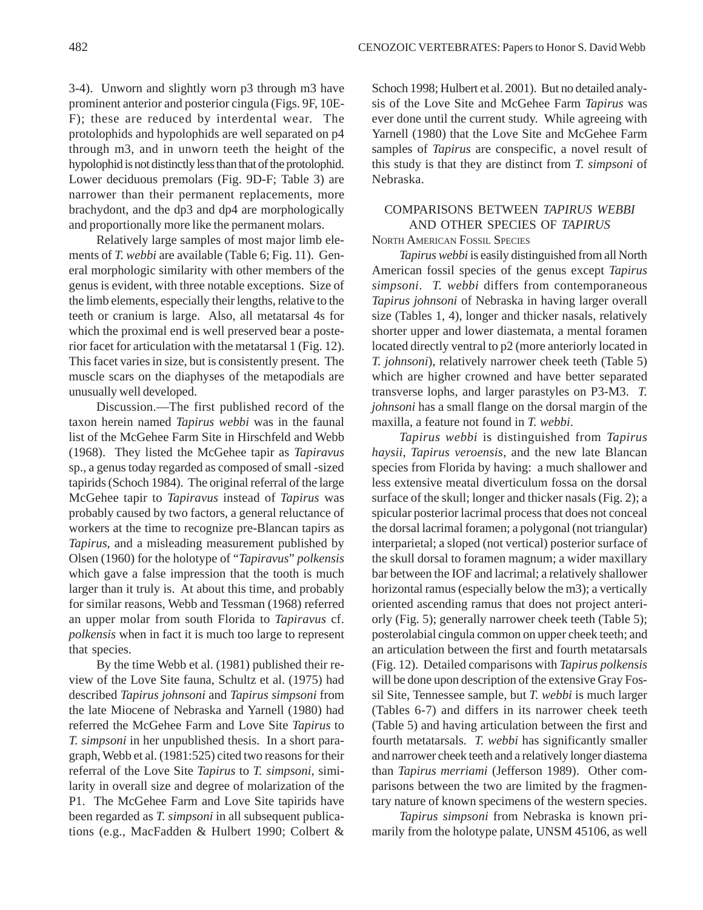3-4). Unworn and slightly worn p3 through m3 have prominent anterior and posterior cingula (Figs. 9F, 10E-F); these are reduced by interdental wear. The protolophids and hypolophids are well separated on p4 through m3, and in unworn teeth the height of the hypolophid is not distinctly less than that of the protolophid. Lower deciduous premolars (Fig. 9D-F; Table 3) are narrower than their permanent replacements, more brachydont, and the dp3 and dp4 are morphologically and proportionally more like the permanent molars.

Relatively large samples of most major limb elements of *T. webbi* are available (Table 6; Fig. 11). General morphologic similarity with other members of the genus is evident, with three notable exceptions. Size of the limb elements, especially their lengths, relative to the teeth or cranium is large. Also, all metatarsal 4s for which the proximal end is well preserved bear a posterior facet for articulation with the metatarsal 1 (Fig. 12). This facet varies in size, but is consistently present. The muscle scars on the diaphyses of the metapodials are unusually well developed.

Discussion.—The first published record of the taxon herein named *Tapirus webbi* was in the faunal list of the McGehee Farm Site in Hirschfeld and Webb (1968). They listed the McGehee tapir as *Tapiravus* sp., a genus today regarded as composed of small -sized tapirids (Schoch 1984). The original referral of the large McGehee tapir to *Tapiravus* instead of *Tapirus* was probably caused by two factors, a general reluctance of workers at the time to recognize pre-Blancan tapirs as *Tapirus*, and a misleading measurement published by Olsen (1960) for the holotype of "*Tapiravus*" *polkensis* which gave a false impression that the tooth is much larger than it truly is. At about this time, and probably for similar reasons, Webb and Tessman (1968) referred an upper molar from south Florida to *Tapiravus* cf. *polkensis* when in fact it is much too large to represent that species.

By the time Webb et al. (1981) published their review of the Love Site fauna, Schultz et al. (1975) had described *Tapirus johnsoni* and *Tapirus simpsoni* from the late Miocene of Nebraska and Yarnell (1980) had referred the McGehee Farm and Love Site *Tapirus* to *T. simpsoni* in her unpublished thesis. In a short paragraph, Webb et al. (1981:525) cited two reasons for their referral of the Love Site *Tapirus* to *T. simpsoni*, similarity in overall size and degree of molarization of the P1. The McGehee Farm and Love Site tapirids have been regarded as *T. simpsoni* in all subsequent publications (e.g., MacFadden & Hulbert 1990; Colbert &

Schoch 1998; Hulbert et al. 2001). But no detailed analysis of the Love Site and McGehee Farm *Tapirus* was ever done until the current study. While agreeing with Yarnell (1980) that the Love Site and McGehee Farm samples of *Tapirus* are conspecific, a novel result of this study is that they are distinct from *T. simpsoni* of Nebraska.

## COMPARISONS BETWEEN *TAPIRUS WEBBI* AND OTHER SPECIES OF *TAPIRUS*

NORTH AMERICAN FOSSIL SPECIES

*Tapirus webbi* is easily distinguished from all North American fossil species of the genus except *Tapirus simpsoni*. *T. webbi* differs from contemporaneous *Tapirus johnsoni* of Nebraska in having larger overall size (Tables 1, 4), longer and thicker nasals, relatively shorter upper and lower diastemata, a mental foramen located directly ventral to p2 (more anteriorly located in *T. johnsoni*), relatively narrower cheek teeth (Table 5) which are higher crowned and have better separated transverse lophs, and larger parastyles on P3-M3. *T. johnsoni* has a small flange on the dorsal margin of the maxilla, a feature not found in *T. webbi*.

*Tapirus webbi* is distinguished from *Tapirus haysii*, *Tapirus veroensis*, and the new late Blancan species from Florida by having: a much shallower and less extensive meatal diverticulum fossa on the dorsal surface of the skull; longer and thicker nasals (Fig. 2); a spicular posterior lacrimal process that does not conceal the dorsal lacrimal foramen; a polygonal (not triangular) interparietal; a sloped (not vertical) posterior surface of the skull dorsal to foramen magnum; a wider maxillary bar between the IOF and lacrimal; a relatively shallower horizontal ramus (especially below the m3); a vertically oriented ascending ramus that does not project anteriorly (Fig. 5); generally narrower cheek teeth (Table 5); posterolabial cingula common on upper cheek teeth; and an articulation between the first and fourth metatarsals (Fig. 12). Detailed comparisons with *Tapirus polkensis* will be done upon description of the extensive Gray Fossil Site, Tennessee sample, but *T. webbi* is much larger (Tables 6-7) and differs in its narrower cheek teeth (Table 5) and having articulation between the first and fourth metatarsals. *T. webbi* has significantly smaller and narrower cheek teeth and a relatively longer diastema than *Tapirus merriami* (Jefferson 1989). Other comparisons between the two are limited by the fragmentary nature of known specimens of the western species.

*Tapirus simpsoni* from Nebraska is known primarily from the holotype palate, UNSM 45106, as well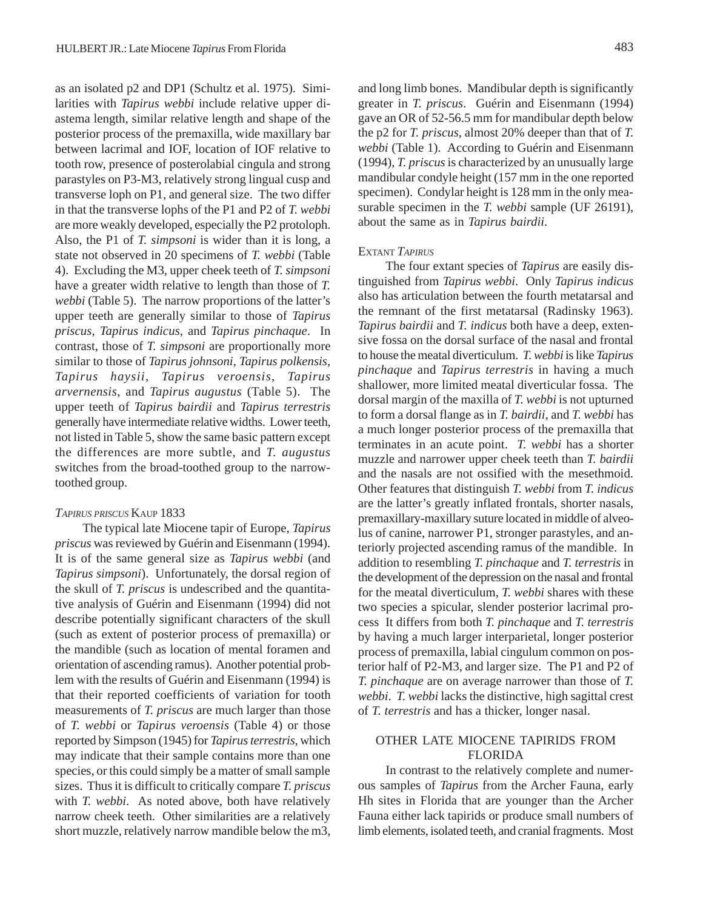as an isolated p2 and DP1 (Schultz et al. 1975). Similarities with *Tapirus webbi* include relative upper diastema length, similar relative length and shape of the posterior process of the premaxilla, wide maxillary bar between lacrimal and IOF, location of IOF relative to tooth row, presence of posterolabial cingula and strong parastyles on P3-M3, relatively strong lingual cusp and transverse loph on P1, and general size. The two differ in that the transverse lophs of the P1 and P2 of *T. webbi* are more weakly developed, especially the P2 protoloph. Also, the P1 of *T. simpsoni* is wider than it is long, a state not observed in 20 specimens of *T. webbi* (Table 4). Excluding the M3, upper cheek teeth of *T. simpsoni* have a greater width relative to length than those of *T. webbi* (Table 5). The narrow proportions of the latter's upper teeth are generally similar to those of *Tapirus priscus*, *Tapirus indicus*, and *Tapirus pinchaque*. In contrast, those of *T. simpsoni* are proportionally more similar to those of *Tapirus johnsoni*, *Tapirus polkensis*, *Tapirus haysii*, *Tapirus veroensis*, *Tapirus arvernensis*, and *Tapirus augustus* (Table 5). The upper teeth of *Tapirus bairdii* and *Tapirus terrestris* generally have intermediate relative widths. Lower teeth, not listed in Table 5, show the same basic pattern except the differences are more subtle, and *T. augustus* switches from the broad-toothed group to the narrowtoothed group.

#### *TAPIRUS PRISCUS* KAUP 1833

The typical late Miocene tapir of Europe, *Tapirus priscus* was reviewed by Guérin and Eisenmann (1994). It is of the same general size as *Tapirus webbi* (and *Tapirus simpsoni*). Unfortunately, the dorsal region of the skull of *T. priscus* is undescribed and the quantitative analysis of Guérin and Eisenmann (1994) did not describe potentially significant characters of the skull (such as extent of posterior process of premaxilla) or the mandible (such as location of mental foramen and orientation of ascending ramus). Another potential problem with the results of Guérin and Eisenmann (1994) is that their reported coefficients of variation for tooth measurements of *T. priscus* are much larger than those of *T. webbi* or *Tapirus veroensis* (Table 4) or those reported by Simpson (1945) for *Tapirus terrestris*, which may indicate that their sample contains more than one species, or this could simply be a matter of small sample sizes. Thus it is difficult to critically compare *T. priscus* with *T. webbi*. As noted above, both have relatively narrow cheek teeth. Other similarities are a relatively short muzzle, relatively narrow mandible below the m3, and long limb bones. Mandibular depth is significantly greater in *T. priscus*. Guérin and Eisenmann (1994) gave an OR of 52-56.5 mm for mandibular depth below the p2 for *T. priscus*, almost 20% deeper than that of *T. webbi* (Table 1). According to Guérin and Eisenmann (1994), *T. priscus* is characterized by an unusually large mandibular condyle height (157 mm in the one reported specimen). Condylar height is 128 mm in the only measurable specimen in the *T. webbi* sample (UF 26191), about the same as in *Tapirus bairdii*.

#### EXTANT *TAPIRUS*

The four extant species of *Tapirus* are easily distinguished from *Tapirus webbi*. Only *Tapirus indicus* also has articulation between the fourth metatarsal and the remnant of the first metatarsal (Radinsky 1963). *Tapirus bairdii* and *T. indicus* both have a deep, extensive fossa on the dorsal surface of the nasal and frontal to house the meatal diverticulum. *T. webbi* is like *Tapirus pinchaque* and *Tapirus terrestris* in having a much shallower, more limited meatal diverticular fossa. The dorsal margin of the maxilla of *T. webbi* is not upturned to form a dorsal flange as in *T. bairdii*, and *T. webbi* has a much longer posterior process of the premaxilla that terminates in an acute point. *T. webbi* has a shorter muzzle and narrower upper cheek teeth than *T. bairdii* and the nasals are not ossified with the mesethmoid. Other features that distinguish *T. webbi* from *T. indicus* are the latter's greatly inflated frontals, shorter nasals, premaxillary-maxillary suture located in middle of alveolus of canine, narrower P1, stronger parastyles, and anteriorly projected ascending ramus of the mandible. In addition to resembling *T. pinchaque* and *T. terrestris* in the development of the depression on the nasal and frontal for the meatal diverticulum, *T. webbi* shares with these two species a spicular, slender posterior lacrimal process It differs from both *T. pinchaque* and *T. terrestris* by having a much larger interparietal, longer posterior process of premaxilla, labial cingulum common on posterior half of P2-M3, and larger size. The P1 and P2 of *T. pinchaque* are on average narrower than those of *T. webbi*. *T. webbi* lacks the distinctive, high sagittal crest of *T. terrestris* and has a thicker, longer nasal.

## OTHER LATE MIOCENE TAPIRIDS FROM FLORIDA

In contrast to the relatively complete and numerous samples of *Tapirus* from the Archer Fauna, early Hh sites in Florida that are younger than the Archer Fauna either lack tapirids or produce small numbers of limb elements, isolated teeth, and cranial fragments. Most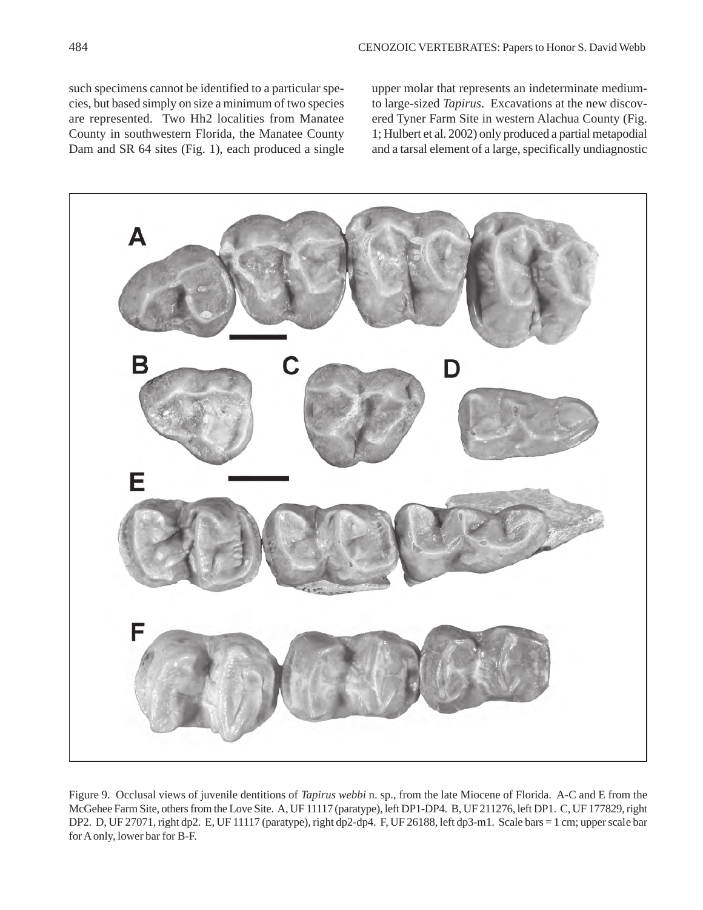such specimens cannot be identified to a particular species, but based simply on size a minimum of two species are represented. Two Hh2 localities from Manatee County in southwestern Florida, the Manatee County Dam and SR 64 sites (Fig. 1), each produced a single upper molar that represents an indeterminate mediumto large-sized *Tapirus*. Excavations at the new discovered Tyner Farm Site in western Alachua County (Fig. 1; Hulbert et al. 2002) only produced a partial metapodial and a tarsal element of a large, specifically undiagnostic



Figure 9. Occlusal views of juvenile dentitions of *Tapirus webbi* n. sp., from the late Miocene of Florida. A-C and E from the McGehee Farm Site, others from the Love Site. A, UF 11117 (paratype), left DP1-DP4. B, UF 211276, left DP1. C, UF 177829, right DP2. D, UF 27071, right dp2. E, UF 11117 (paratype), right dp2-dp4. F, UF 26188, left dp3-m1. Scale bars = 1 cm; upper scale bar for A only, lower bar for B-F.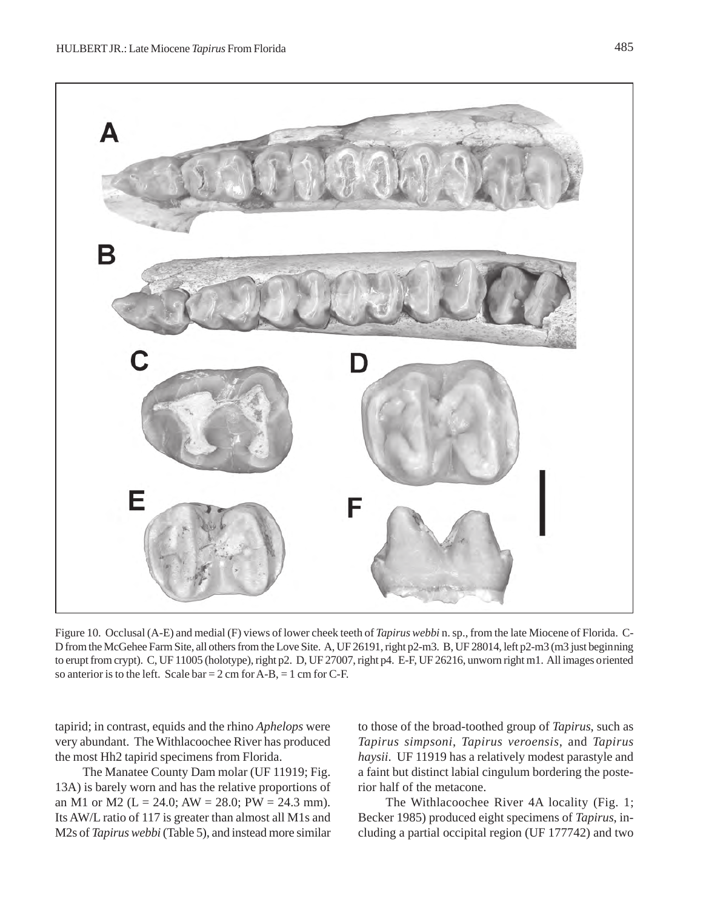![](_page_20_Figure_1.jpeg)

Figure 10. Occlusal (A-E) and medial (F) views of lower cheek teeth of *Tapirus webbi* n. sp., from the late Miocene of Florida. C-D from the McGehee Farm Site, all others from the Love Site. A, UF 26191, right p2-m3. B, UF 28014, left p2-m3 (m3 just beginning to erupt from crypt). C, UF 11005 (holotype), right p2. D, UF 27007, right p4. E-F, UF 26216, unworn right m1. All images oriented so anterior is to the left. Scale bar =  $2 \text{ cm}$  for A-B, = 1 cm for C-F.

tapirid; in contrast, equids and the rhino *Aphelops* were very abundant. The Withlacoochee River has produced the most Hh2 tapirid specimens from Florida.

The Manatee County Dam molar (UF 11919; Fig. 13A) is barely worn and has the relative proportions of an M1 or M2 ( $L = 24.0$ ; AW = 28.0; PW = 24.3 mm). Its AW/L ratio of 117 is greater than almost all M1s and M2s of *Tapirus webbi* (Table 5), and instead more similar

to those of the broad-toothed group of *Tapirus*, such as *Tapirus simpsoni*, *Tapirus veroensis*, and *Tapirus haysii*. UF 11919 has a relatively modest parastyle and a faint but distinct labial cingulum bordering the posterior half of the metacone.

The Withlacoochee River 4A locality (Fig. 1; Becker 1985) produced eight specimens of *Tapirus*, including a partial occipital region (UF 177742) and two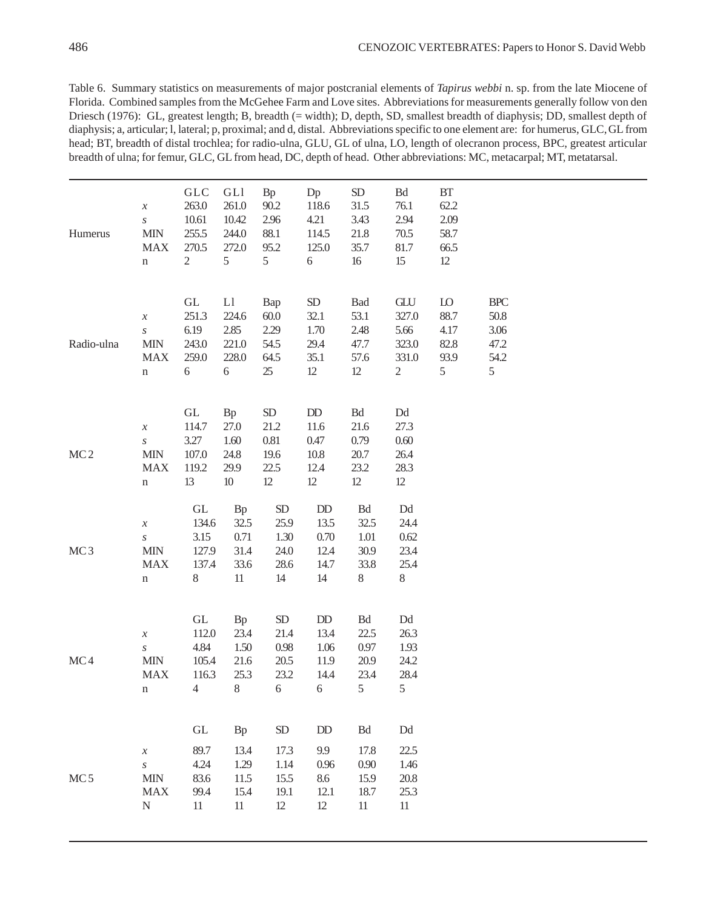Table 6. Summary statistics on measurements of major postcranial elements of *Tapirus webbi* n. sp. from the late Miocene of Florida. Combined samples from the McGehee Farm and Love sites. Abbreviations for measurements generally follow von den Driesch (1976): GL, greatest length; B, breadth (= width); D, depth, SD, smallest breadth of diaphysis; DD, smallest depth of diaphysis; a, articular; l, lateral; p, proximal; and d, distal. Abbreviations specific to one element are: for humerus, GLC, GL from head; BT, breadth of distal trochlea; for radio-ulna, GLU, GL of ulna, LO, length of olecranon process, BPC, greatest articular breadth of ulna; for femur, GLC, GL from head, DC, depth of head. Other abbreviations: MC, metacarpal; MT, metatarsal.

| Humerus         | $\boldsymbol{\mathcal{X}}$<br>$\boldsymbol{S}$<br><b>MIN</b><br><b>MAX</b><br>$\mathbf n$ | <b>GLC</b><br>263.0<br>10.61<br>255.5<br>270.5<br>$\mathbf{2}$           | GLI<br>261.0<br>10.42<br>244.0<br>272.0<br>5            | <b>Bp</b><br>90.2<br>2.96<br>88.1<br>95.2<br>5   | Dp<br>118.6<br>4.21<br>114.5<br>125.0<br>6    | ${\rm SD}$<br>31.5<br>3.43<br>21.8<br>35.7<br>$16$               | Bd<br>76.1<br>2.94<br>70.5<br>81.7<br>15                        | BT<br>62.2<br>2.09<br>58.7<br>66.5<br>12        |                                                 |
|-----------------|-------------------------------------------------------------------------------------------|--------------------------------------------------------------------------|---------------------------------------------------------|--------------------------------------------------|-----------------------------------------------|------------------------------------------------------------------|-----------------------------------------------------------------|-------------------------------------------------|-------------------------------------------------|
| Radio-ulna      | $\boldsymbol{\mathcal{X}}$<br>$\boldsymbol{S}$<br><b>MIN</b><br><b>MAX</b><br>$\mathbf n$ | GL<br>251.3<br>6.19<br>243.0<br>259.0<br>6                               | L1<br>224.6<br>2.85<br>221.0<br>228.0<br>$\sqrt{6}$     | Bap<br>60.0<br>2.29<br>54.5<br>64.5<br>25        | SD<br>32.1<br>1.70<br>29.4<br>35.1<br>$12\,$  | Bad<br>53.1<br>2.48<br>47.7<br>57.6<br>$12\,$                    | GLU<br>327.0<br>5.66<br>323.0<br>331.0<br>$\mathbf{2}$          | ${\rm LO}$<br>88.7<br>4.17<br>82.8<br>93.9<br>5 | <b>BPC</b><br>50.8<br>3.06<br>47.2<br>54.2<br>5 |
| MC <sub>2</sub> | $\boldsymbol{\mathcal{X}}$<br>$\boldsymbol{S}$<br><b>MIN</b><br><b>MAX</b><br>$\mathbf n$ | GL<br>114.7<br>3.27<br>107.0<br>119.2<br>13                              | <b>Bp</b><br>27.0<br>$1.60\,$<br>24.8<br>29.9<br>$10\,$ | SD<br>21.2<br>0.81<br>19.6<br>22.5<br>12         | DD<br>11.6<br>0.47<br>10.8<br>12.4<br>12      | $\mathop{\mathrm{Bd}}$<br>21.6<br>0.79<br>20.7<br>23.2<br>$12\,$ | Dd<br>27.3<br>0.60<br>26.4<br>28.3<br>$12 \,$                   |                                                 |                                                 |
| MC3             | $\boldsymbol{\mathcal{X}}$<br>$\boldsymbol{S}$<br><b>MIN</b><br><b>MAX</b><br>$\mathbf n$ | $\operatorname{GL}$<br>134.6<br>3.15<br>127.9<br>137.4<br>$8\,$          | <b>Bp</b><br>32.5<br>0.71<br>31.4<br>33.6<br>11         | ${\rm SD}$<br>25.9<br>1.30<br>24.0<br>28.6<br>14 | DD<br>13.5<br>0.70<br>12.4<br>14.7<br>14      | $\operatorname{Bd}$<br>32.5<br>1.01<br>30.9<br>33.8<br>8         | $\mathop{\rm Dd}\nolimits$<br>24.4<br>0.62<br>23.4<br>25.4<br>8 |                                                 |                                                 |
| MC4             | $\boldsymbol{\mathcal{X}}$<br>$\boldsymbol{S}$<br><b>MIN</b><br><b>MAX</b><br>n           | $\operatorname{GL}$<br>112.0<br>4.84<br>105.4<br>116.3<br>$\overline{4}$ | <b>Bp</b><br>23.4<br>1.50<br>21.6<br>25.3<br>$8\,$      | ${\rm SD}$<br>21.4<br>0.98<br>20.5<br>23.2<br>6  | $\rm DD$<br>13.4<br>1.06<br>11.9<br>14.4<br>6 | Bd<br>22.5<br>0.97<br>20.9<br>23.4<br>5                          | $\mathop{\rm Dd}\nolimits$<br>26.3<br>1.93<br>24.2<br>28.4<br>5 |                                                 |                                                 |
| MC <sub>5</sub> | $\boldsymbol{\mathcal{X}}$<br>$\boldsymbol{S}$<br><b>MIN</b><br><b>MAX</b><br>${\bf N}$   | $\operatorname{GL}$<br>89.7<br>4.24<br>83.6<br>99.4<br>11                | <b>Bp</b><br>13.4<br>1.29<br>11.5<br>15.4<br>11         | <b>SD</b><br>17.3<br>1.14<br>15.5<br>19.1<br>12  | DD<br>9.9<br>0.96<br>8.6<br>12.1<br>12        | Bd<br>17.8<br>0.90<br>15.9<br>18.7<br>11                         | $\mathop{\rm Dd}$<br>22.5<br>1.46<br>20.8<br>25.3<br>11         |                                                 |                                                 |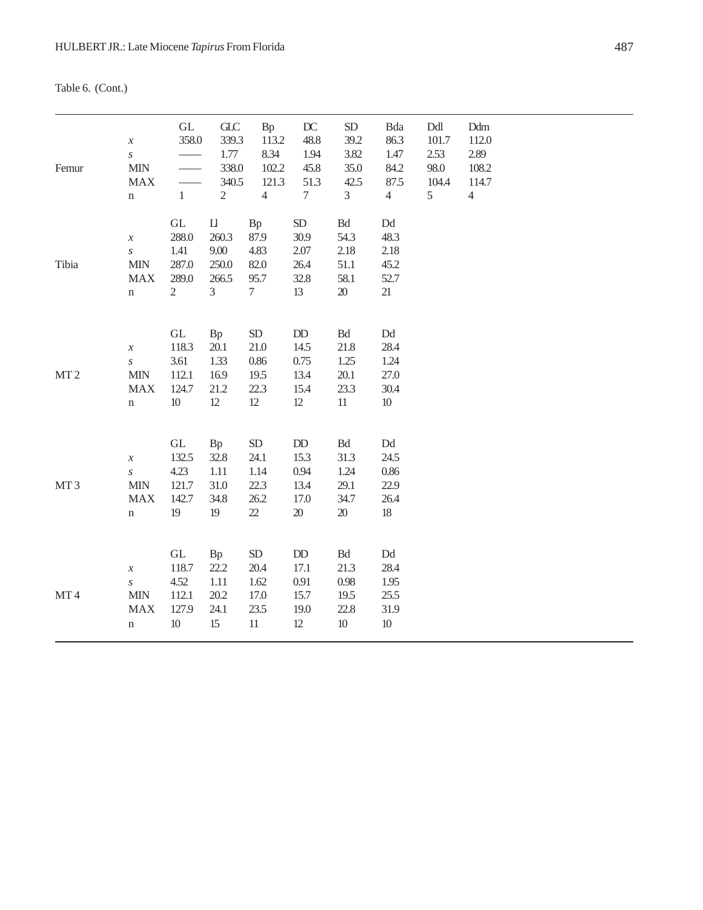Table 6. (Cont.)

| Femur           | $\boldsymbol{\mathcal{X}}$<br>$\boldsymbol{S}$<br><b>MIN</b><br>${\rm MAX}$<br>$\mathbf n$   | $\operatorname{GL}$<br>358.0<br>$\mathbf{1}$                           | $C_{\rm LC}$<br>339.3<br>1.77<br>338.0<br>340.5<br>$\sqrt{2}$ | Bp<br>113.2<br>8.34<br>102.2<br>121.3<br>$\overline{4}$ | $D\!C$<br>48.8<br>1.94<br>45.8<br>51.3<br>$\tau$             | ${\rm SD}$<br>39.2<br>3.82<br>35.0<br>42.5<br>3                   | Bda<br>86.3<br>1.47<br>84.2<br>87.5<br>$\overline{4}$                | Ddl<br>101.7<br>2.53<br>98.0<br>104.4<br>5 | Ddm<br>112.0<br>2.89<br>108.2<br>114.7<br>$\overline{4}$ |
|-----------------|----------------------------------------------------------------------------------------------|------------------------------------------------------------------------|---------------------------------------------------------------|---------------------------------------------------------|--------------------------------------------------------------|-------------------------------------------------------------------|----------------------------------------------------------------------|--------------------------------------------|----------------------------------------------------------|
| Tibia           | $\boldsymbol{\mathcal{X}}$<br>$\boldsymbol{S}$<br>$\text{MIN}$<br>${\rm MAX}$<br>$\mathbf n$ | $\operatorname{GL}$<br>288.0<br>1.41<br>287.0<br>289.0<br>$\mathbf{2}$ | $\mathbf{L}$<br>260.3<br>9.00<br>250.0<br>266.5<br>3          | Bp<br>87.9<br>4.83<br>82.0<br>95.7<br>$\overline{7}$    | SD<br>30.9<br>2.07<br>26.4<br>32.8<br>13                     | $\operatorname{Bd}$<br>54.3<br>2.18<br>$51.1\,$<br>58.1<br>$20\,$ | $\mathop{\rm Dd}\nolimits$<br>48.3<br>2.18<br>45.2<br>52.7<br>21     |                                            |                                                          |
| MT2             | $\boldsymbol{\mathcal{X}}$<br>$\boldsymbol{S}$<br>$\mbox{MIN}$<br><b>MAX</b><br>$\mathbf n$  | $\operatorname{GL}$<br>118.3<br>3.61<br>112.1<br>124.7<br>$10\,$       | Bp<br>20.1<br>1.33<br>16.9<br>21.2<br>$12\,$                  | ${\rm SD}$<br>21.0<br>0.86<br>19.5<br>22.3<br>$12 \,$   | $\rm{DD}$<br>14.5<br>0.75<br>13.4<br>15.4<br>$12\,$          | $\mathop{\mathrm{Bd}}$<br>21.8<br>1.25<br>20.1<br>23.3<br>$11\,$  | $\mathop{\rm Dd}\nolimits$<br>28.4<br>1.24<br>27.0<br>30.4<br>$10\,$ |                                            |                                                          |
| MT <sub>3</sub> | $\boldsymbol{\mathcal{X}}$<br>$\boldsymbol{S}$<br>$\mbox{MIN}$<br><b>MAX</b><br>n            | $\operatorname{GL}$<br>132.5<br>4.23<br>121.7<br>142.7<br>19           | Bp<br>32.8<br>$1.11\,$<br>31.0<br>34.8<br>19                  | ${\rm SD}$<br>24.1<br>1.14<br>22.3<br>26.2<br>$22\,$    | $\rm DD$<br>15.3<br>0.94<br>13.4<br>17.0<br>$20\,$           | $\mathop{\mathrm{Bd}}$<br>31.3<br>1.24<br>29.1<br>34.7<br>$20\,$  | $\mathop{\rm Dd}\nolimits$<br>24.5<br>0.86<br>22.9<br>26.4<br>$18\,$ |                                            |                                                          |
| MT4             | $\boldsymbol{\mathcal{X}}$<br>$\boldsymbol{S}$<br>$\text{MIN}$<br><b>MAX</b><br>$\mathbf n$  | $\operatorname{GL}$<br>118.7<br>4.52<br>112.1<br>127.9<br>$10\,$       | Bp<br>22.2<br>1.11<br>20.2<br>24.1<br>15                      | ${\rm SD}$<br>20.4<br>1.62<br>17.0<br>23.5<br>$11\,$    | $\mathbf{D}\mathbf{D}$<br>17.1<br>0.91<br>15.7<br>19.0<br>12 | $\mathop{\mathrm{Bd}}$<br>21.3<br>0.98<br>19.5<br>22.8<br>$10\,$  | $\mathop{\rm Dd}\nolimits$<br>28.4<br>1.95<br>25.5<br>31.9<br>$10\,$ |                                            |                                                          |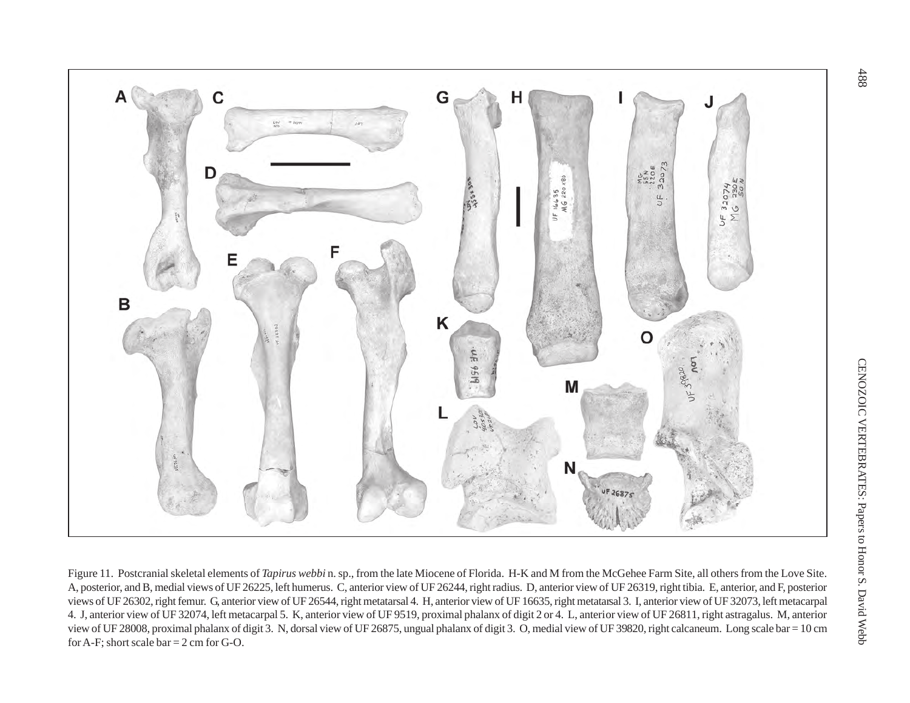![](_page_23_Figure_0.jpeg)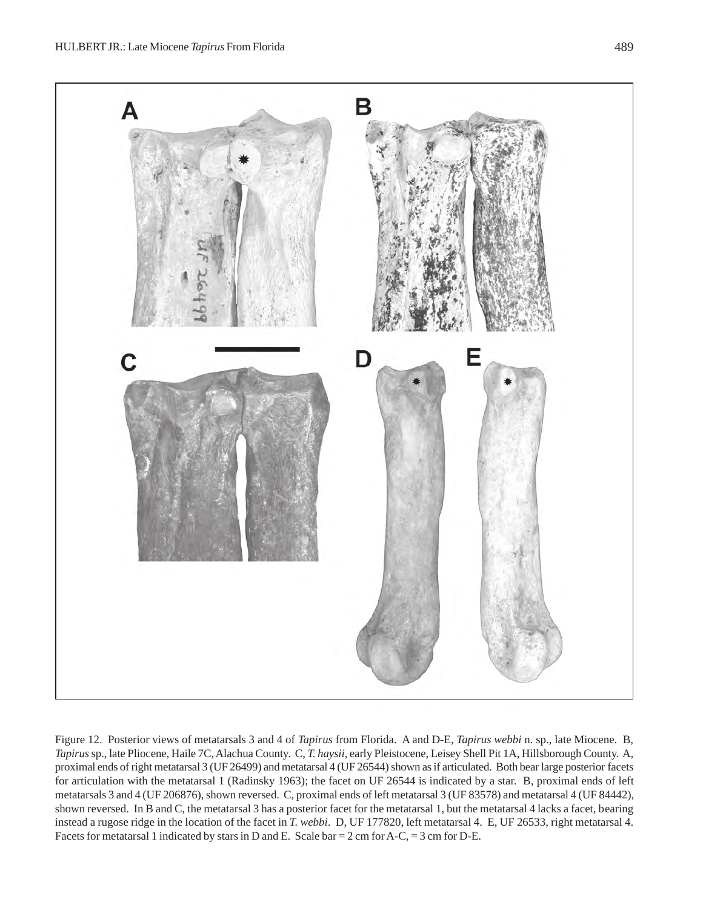![](_page_24_Figure_2.jpeg)

Figure 12. Posterior views of metatarsals 3 and 4 of *Tapirus* from Florida. A and D-E, *Tapirus webbi* n. sp., late Miocene. B, *Tapirus* sp., late Pliocene, Haile 7C, Alachua County. C, *T. haysii*, early Pleistocene, Leisey Shell Pit 1A, Hillsborough County. A, proximal ends of right metatarsal 3 (UF 26499) and metatarsal 4 (UF 26544) shown as if articulated. Both bear large posterior facets for articulation with the metatarsal 1 (Radinsky 1963); the facet on UF 26544 is indicated by a star. B, proximal ends of left metatarsals 3 and 4 (UF 206876), shown reversed. C, proximal ends of left metatarsal 3 (UF 83578) and metatarsal 4 (UF 84442), shown reversed. In B and C, the metatarsal 3 has a posterior facet for the metatarsal 1, but the metatarsal 4 lacks a facet, bearing instead a rugose ridge in the location of the facet in *T. webbi*. D, UF 177820, left metatarsal 4. E, UF 26533, right metatarsal 4. Facets for metatarsal 1 indicated by stars in D and E. Scale bar = 2 cm for A-C, = 3 cm for D-E.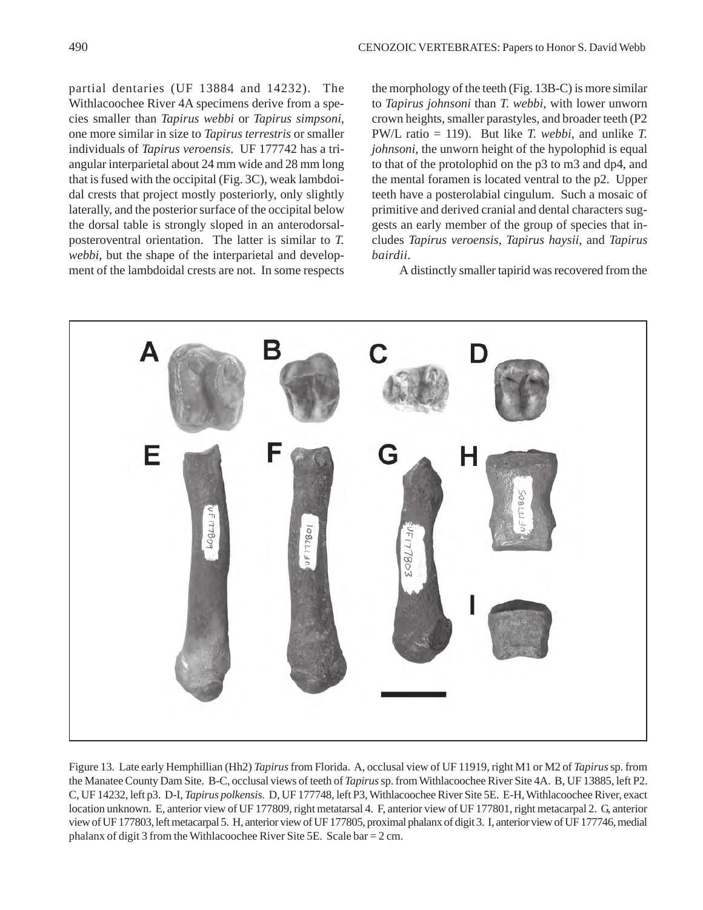partial dentaries (UF 13884 and 14232). The Withlacoochee River 4A specimens derive from a species smaller than *Tapirus webbi* or *Tapirus simpsoni*, one more similar in size to *Tapirus terrestris* or smaller individuals of *Tapirus veroensis*. UF 177742 has a triangular interparietal about 24 mm wide and 28 mm long that is fused with the occipital (Fig. 3C), weak lambdoidal crests that project mostly posteriorly, only slightly laterally, and the posterior surface of the occipital below the dorsal table is strongly sloped in an anterodorsalposteroventral orientation. The latter is similar to *T. webbi*, but the shape of the interparietal and development of the lambdoidal crests are not. In some respects

the morphology of the teeth (Fig. 13B-C) is more similar to *Tapirus johnsoni* than *T. webbi*, with lower unworn crown heights, smaller parastyles, and broader teeth (P2 PW/L ratio = 119). But like *T. webbi*, and unlike *T. johnsoni*, the unworn height of the hypolophid is equal to that of the protolophid on the p3 to m3 and dp4, and the mental foramen is located ventral to the p2. Upper teeth have a posterolabial cingulum. Such a mosaic of primitive and derived cranial and dental characters suggests an early member of the group of species that includes *Tapirus veroensis*, *Tapirus haysii*, and *Tapirus bairdii*.

A distinctly smaller tapirid was recovered from the

![](_page_25_Picture_5.jpeg)

Figure 13. Late early Hemphillian (Hh2) *Tapirus* from Florida. A, occlusal view of UF 11919, right M1 or M2 of *Tapirus* sp. from the Manatee County Dam Site. B-C, occlusal views of teeth of *Tapirus* sp. from Withlacoochee River Site 4A. B, UF 13885, left P2. C, UF 14232, left p3. D-I, *Tapirus polkensis*. D, UF 177748, left P3, Withlacoochee River Site 5E. E-H, Withlacoochee River, exact location unknown. E, anterior view of UF 177809, right metatarsal 4. F, anterior view of UF 177801, right metacarpal 2. G, anterior view of UF 177803, left metacarpal 5. H, anterior view of UF 177805, proximal phalanx of digit 3. I, anterior view of UF 177746, medial phalanx of digit 3 from the Withlacoochee River Site 5E. Scale bar  $= 2$  cm.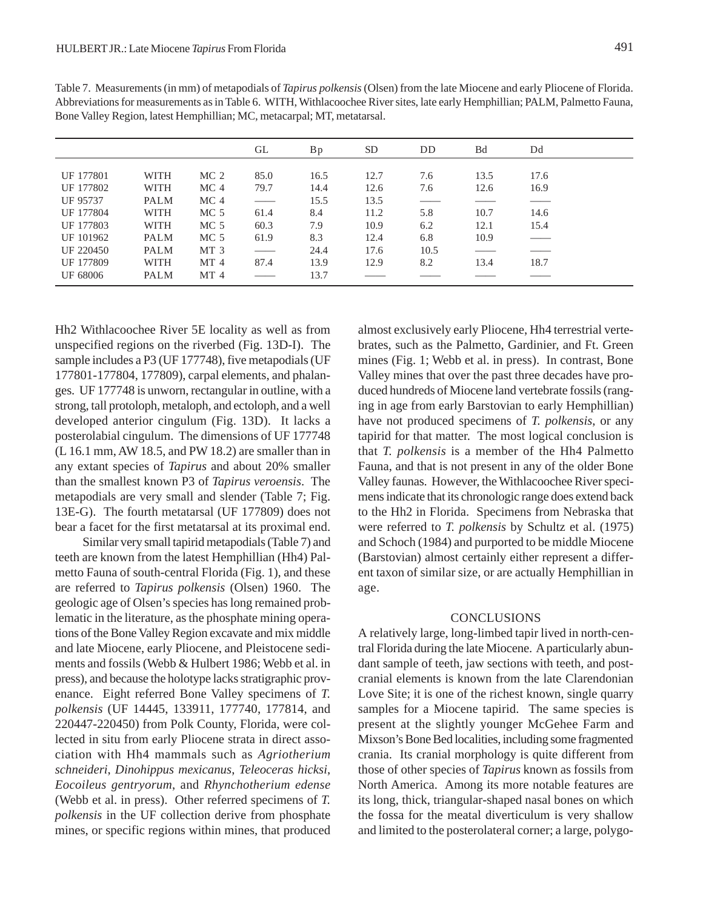| Dd   |
|------|
|      |
| 17.6 |
| 16.9 |
|      |
| 14.6 |
| 15.4 |
|      |
|      |
| 18.7 |
|      |

UF 68006 PALM MT 4 —— 13.7 —— —— —— ——

Table 7. Measurements (in mm) of metapodials of *Tapirus polkensis* (Olsen) from the late Miocene and early Pliocene of Florida. Abbreviations for measurements as in Table 6. WITH, Withlacoochee River sites, late early Hemphillian; PALM, Palmetto Fauna, Bone Valley Region, latest Hemphillian; MC, metacarpal; MT, metatarsal.

Hh2 Withlacoochee River 5E locality as well as from unspecified regions on the riverbed (Fig. 13D-I). The sample includes a P3 (UF 177748), five metapodials (UF 177801-177804, 177809), carpal elements, and phalanges. UF 177748 is unworn, rectangular in outline, with a strong, tall protoloph, metaloph, and ectoloph, and a well developed anterior cingulum (Fig. 13D). It lacks a posterolabial cingulum. The dimensions of UF 177748 (L 16.1 mm, AW 18.5, and PW 18.2) are smaller than in any extant species of *Tapirus* and about 20% smaller than the smallest known P3 of *Tapirus veroensis*. The metapodials are very small and slender (Table 7; Fig. 13E-G). The fourth metatarsal (UF 177809) does not bear a facet for the first metatarsal at its proximal end.

Similar very small tapirid metapodials (Table 7) and teeth are known from the latest Hemphillian (Hh4) Palmetto Fauna of south-central Florida (Fig. 1), and these are referred to *Tapirus polkensis* (Olsen) 1960. The geologic age of Olsen's species has long remained problematic in the literature, as the phosphate mining operations of the Bone Valley Region excavate and mix middle and late Miocene, early Pliocene, and Pleistocene sediments and fossils (Webb & Hulbert 1986; Webb et al. in press), and because the holotype lacks stratigraphic provenance. Eight referred Bone Valley specimens of *T. polkensis* (UF 14445, 133911, 177740, 177814, and 220447-220450) from Polk County, Florida, were collected in situ from early Pliocene strata in direct association with Hh4 mammals such as *Agriotherium schneideri*, *Dinohippus mexicanus*, *Teleoceras hicksi*, *Eocoileus gentryorum*, and *Rhynchotherium edense* (Webb et al. in press). Other referred specimens of *T. polkensis* in the UF collection derive from phosphate mines, or specific regions within mines, that produced

almost exclusively early Pliocene, Hh4 terrestrial vertebrates, such as the Palmetto, Gardinier, and Ft. Green mines (Fig. 1; Webb et al. in press). In contrast, Bone Valley mines that over the past three decades have produced hundreds of Miocene land vertebrate fossils (ranging in age from early Barstovian to early Hemphillian) have not produced specimens of *T. polkensis*, or any tapirid for that matter. The most logical conclusion is that *T. polkensis* is a member of the Hh4 Palmetto Fauna, and that is not present in any of the older Bone Valley faunas. However, the Withlacoochee River specimens indicate that its chronologic range does extend back to the Hh2 in Florida. Specimens from Nebraska that were referred to *T. polkensis* by Schultz et al. (1975) and Schoch (1984) and purported to be middle Miocene (Barstovian) almost certainly either represent a different taxon of similar size, or are actually Hemphillian in age.

#### CONCLUSIONS

A relatively large, long-limbed tapir lived in north-central Florida during the late Miocene. A particularly abundant sample of teeth, jaw sections with teeth, and postcranial elements is known from the late Clarendonian Love Site; it is one of the richest known, single quarry samples for a Miocene tapirid. The same species is present at the slightly younger McGehee Farm and Mixson's Bone Bed localities, including some fragmented crania. Its cranial morphology is quite different from those of other species of *Tapirus* known as fossils from North America. Among its more notable features are its long, thick, triangular-shaped nasal bones on which the fossa for the meatal diverticulum is very shallow and limited to the posterolateral corner; a large, polygo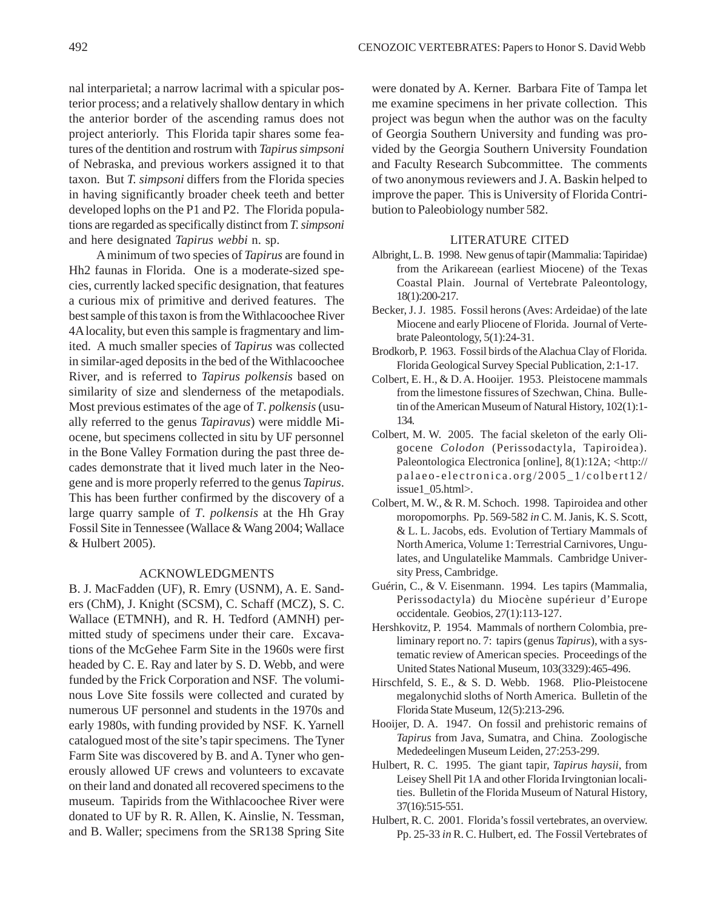nal interparietal; a narrow lacrimal with a spicular posterior process; and a relatively shallow dentary in which the anterior border of the ascending ramus does not project anteriorly. This Florida tapir shares some features of the dentition and rostrum with *Tapirus simpsoni* of Nebraska, and previous workers assigned it to that taxon. But *T. simpsoni* differs from the Florida species in having significantly broader cheek teeth and better developed lophs on the P1 and P2. The Florida populations are regarded as specifically distinct from *T. simpsoni* and here designated *Tapirus webbi* n. sp.

A minimum of two species of *Tapirus* are found in Hh2 faunas in Florida. One is a moderate-sized species, currently lacked specific designation, that features a curious mix of primitive and derived features. The best sample of this taxon is from the Withlacoochee River 4A locality, but even this sample is fragmentary and limited. A much smaller species of *Tapirus* was collected in similar-aged deposits in the bed of the Withlacoochee River, and is referred to *Tapirus polkensis* based on similarity of size and slenderness of the metapodials. Most previous estimates of the age of *T*. *polkensis* (usually referred to the genus *Tapiravus*) were middle Miocene, but specimens collected in situ by UF personnel in the Bone Valley Formation during the past three decades demonstrate that it lived much later in the Neogene and is more properly referred to the genus *Tapirus*. This has been further confirmed by the discovery of a large quarry sample of *T*. *polkensis* at the Hh Gray Fossil Site in Tennessee (Wallace & Wang 2004; Wallace & Hulbert 2005).

### ACKNOWLEDGMENTS

B. J. MacFadden (UF), R. Emry (USNM), A. E. Sanders (ChM), J. Knight (SCSM), C. Schaff (MCZ), S. C. Wallace (ETMNH), and R. H. Tedford (AMNH) permitted study of specimens under their care. Excavations of the McGehee Farm Site in the 1960s were first headed by C. E. Ray and later by S. D. Webb, and were funded by the Frick Corporation and NSF. The voluminous Love Site fossils were collected and curated by numerous UF personnel and students in the 1970s and early 1980s, with funding provided by NSF. K. Yarnell catalogued most of the site's tapir specimens. The Tyner Farm Site was discovered by B. and A. Tyner who generously allowed UF crews and volunteers to excavate on their land and donated all recovered specimens to the museum. Tapirids from the Withlacoochee River were donated to UF by R. R. Allen, K. Ainslie, N. Tessman, and B. Waller; specimens from the SR138 Spring Site

were donated by A. Kerner. Barbara Fite of Tampa let me examine specimens in her private collection. This project was begun when the author was on the faculty of Georgia Southern University and funding was provided by the Georgia Southern University Foundation and Faculty Research Subcommittee. The comments of two anonymous reviewers and J. A. Baskin helped to improve the paper. This is University of Florida Contribution to Paleobiology number 582.

### LITERATURE CITED

- Albright, L. B. 1998. New genus of tapir (Mammalia: Tapiridae) from the Arikareean (earliest Miocene) of the Texas Coastal Plain. Journal of Vertebrate Paleontology, 18(1):200-217.
- Becker, J. J. 1985. Fossil herons (Aves: Ardeidae) of the late Miocene and early Pliocene of Florida. Journal of Vertebrate Paleontology, 5(1):24-31.
- Brodkorb, P. 1963. Fossil birds of the Alachua Clay of Florida. Florida Geological Survey Special Publication, 2:1-17.
- Colbert, E. H., & D. A. Hooijer. 1953. Pleistocene mammals from the limestone fissures of Szechwan, China. Bulletin of the American Museum of Natural History, 102(1):1- 134.
- Colbert, M. W. 2005. The facial skeleton of the early Oligocene *Colodon* (Perissodactyla, Tapiroidea). Paleontologica Electronica [online], 8(1):12A; <http:// palaeo-electronica.org/2005\_1/colbert12/ issue1\_05.html>.
- Colbert, M. W., & R. M. Schoch. 1998. Tapiroidea and other moropomorphs. Pp. 569-582 *in* C. M. Janis, K. S. Scott, & L. L. Jacobs, eds. Evolution of Tertiary Mammals of North America, Volume 1: Terrestrial Carnivores, Ungulates, and Ungulatelike Mammals. Cambridge University Press, Cambridge.
- Guérin, C., & V. Eisenmann. 1994. Les tapirs (Mammalia, Perissodactyla) du Miocène supérieur d'Europe occidentale. Geobios, 27(1):113-127.
- Hershkovitz, P. 1954. Mammals of northern Colombia, preliminary report no. 7: tapirs (genus *Tapirus*), with a systematic review of American species. Proceedings of the United States National Museum, 103(3329):465-496.
- Hirschfeld, S. E., & S. D. Webb. 1968. Plio-Pleistocene megalonychid sloths of North America. Bulletin of the Florida State Museum, 12(5):213-296.
- Hooijer, D. A. 1947. On fossil and prehistoric remains of *Tapirus* from Java, Sumatra, and China. Zoologische Mededeelingen Museum Leiden, 27:253-299.
- Hulbert, R. C. 1995. The giant tapir, *Tapirus haysii*, from Leisey Shell Pit 1A and other Florida Irvingtonian localities. Bulletin of the Florida Museum of Natural History, 37(16):515-551.
- Hulbert, R. C. 2001. Florida's fossil vertebrates, an overview. Pp. 25-33 *in* R. C. Hulbert, ed. The Fossil Vertebrates of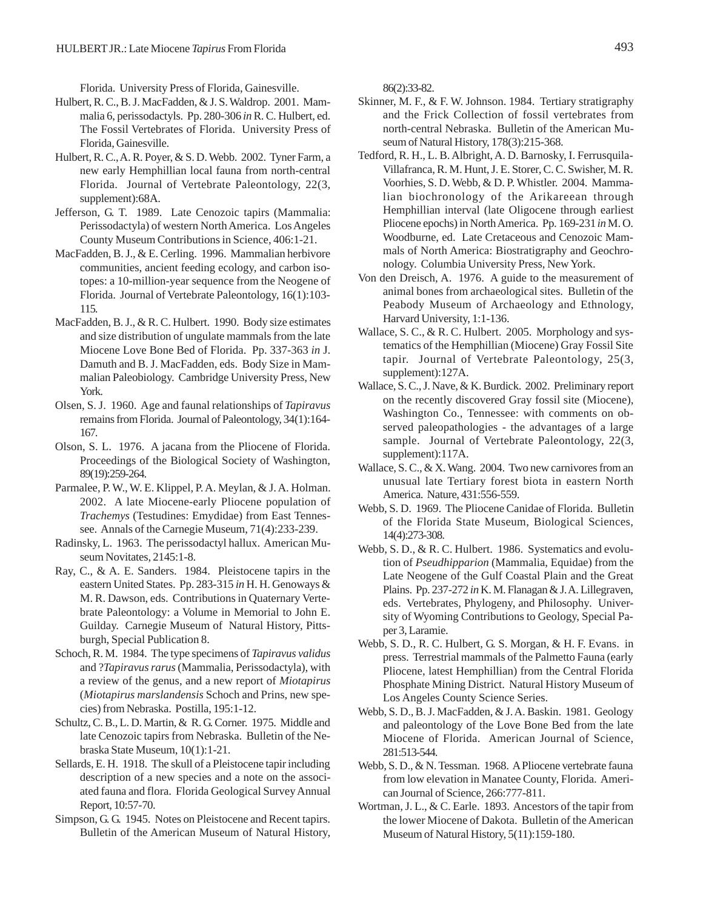Florida. University Press of Florida, Gainesville.

- Hulbert, R. C., B. J. MacFadden, & J. S. Waldrop. 2001. Mammalia 6, perissodactyls. Pp. 280-306 *in* R. C. Hulbert, ed. The Fossil Vertebrates of Florida. University Press of Florida, Gainesville.
- Hulbert, R. C., A. R. Poyer, & S. D. Webb. 2002. Tyner Farm, a new early Hemphillian local fauna from north-central Florida. Journal of Vertebrate Paleontology, 22(3, supplement):68A.
- Jefferson, G. T. 1989. Late Cenozoic tapirs (Mammalia: Perissodactyla) of western North America. Los Angeles County Museum Contributions in Science, 406:1-21.
- MacFadden, B. J., & E. Cerling. 1996. Mammalian herbivore communities, ancient feeding ecology, and carbon isotopes: a 10-million-year sequence from the Neogene of Florida. Journal of Vertebrate Paleontology, 16(1):103- 115.
- MacFadden, B. J., & R. C. Hulbert. 1990. Body size estimates and size distribution of ungulate mammals from the late Miocene Love Bone Bed of Florida. Pp. 337-363 *in* J. Damuth and B. J. MacFadden, eds. Body Size in Mammalian Paleobiology. Cambridge University Press, New York.
- Olsen, S. J. 1960. Age and faunal relationships of *Tapiravus* remains from Florida. Journal of Paleontology, 34(1):164- 167.
- Olson, S. L. 1976. A jacana from the Pliocene of Florida. Proceedings of the Biological Society of Washington, 89(19):259-264.
- Parmalee, P. W., W. E. Klippel, P. A. Meylan, & J. A. Holman. 2002. A late Miocene-early Pliocene population of *Trachemys* (Testudines: Emydidae) from East Tennessee. Annals of the Carnegie Museum, 71(4):233-239.
- Radinsky, L. 1963. The perissodactyl hallux. American Museum Novitates, 2145:1-8.
- Ray, C., & A. E. Sanders. 1984. Pleistocene tapirs in the eastern United States. Pp. 283-315 *in* H. H. Genoways & M. R. Dawson, eds. Contributions in Quaternary Vertebrate Paleontology: a Volume in Memorial to John E. Guilday. Carnegie Museum of Natural History, Pittsburgh, Special Publication 8.
- Schoch, R. M. 1984. The type specimens of *Tapiravus validus* and ?*Tapiravus rarus* (Mammalia, Perissodactyla), with a review of the genus, and a new report of *Miotapirus* (*Miotapirus marslandensis* Schoch and Prins, new species) from Nebraska. Postilla, 195:1-12.
- Schultz, C. B., L. D. Martin, & R. G. Corner. 1975. Middle and late Cenozoic tapirs from Nebraska. Bulletin of the Nebraska State Museum, 10(1):1-21.
- Sellards, E. H. 1918. The skull of a Pleistocene tapir including description of a new species and a note on the associated fauna and flora. Florida Geological Survey Annual Report, 10:57-70.
- Simpson, G. G. 1945. Notes on Pleistocene and Recent tapirs. Bulletin of the American Museum of Natural History,

86(2):33-82.

- Skinner, M. F., & F. W. Johnson. 1984. Tertiary stratigraphy and the Frick Collection of fossil vertebrates from north-central Nebraska. Bulletin of the American Museum of Natural History, 178(3):215-368.
- Tedford, R. H., L. B. Albright, A. D. Barnosky, I. Ferrusquila-Villafranca, R. M. Hunt, J. E. Storer, C. C. Swisher, M. R. Voorhies, S. D. Webb, & D. P. Whistler. 2004. Mammalian biochronology of the Arikareean through Hemphillian interval (late Oligocene through earliest Pliocene epochs) in North America. Pp. 169-231 *in* M. O. Woodburne, ed. Late Cretaceous and Cenozoic Mammals of North America: Biostratigraphy and Geochronology. Columbia University Press, New York.
- Von den Dreisch, A. 1976. A guide to the measurement of animal bones from archaeological sites. Bulletin of the Peabody Museum of Archaeology and Ethnology, Harvard University, 1:1-136.
- Wallace, S. C., & R. C. Hulbert. 2005. Morphology and systematics of the Hemphillian (Miocene) Gray Fossil Site tapir. Journal of Vertebrate Paleontology, 25(3, supplement):127A.
- Wallace, S. C., J. Nave, & K. Burdick. 2002. Preliminary report on the recently discovered Gray fossil site (Miocene), Washington Co., Tennessee: with comments on observed paleopathologies - the advantages of a large sample. Journal of Vertebrate Paleontology, 22(3, supplement):117A.
- Wallace, S. C., & X. Wang. 2004. Two new carnivores from an unusual late Tertiary forest biota in eastern North America. Nature, 431:556-559.
- Webb, S. D. 1969. The Pliocene Canidae of Florida. Bulletin of the Florida State Museum, Biological Sciences, 14(4):273-308.
- Webb, S. D., & R. C. Hulbert. 1986. Systematics and evolution of *Pseudhipparion* (Mammalia, Equidae) from the Late Neogene of the Gulf Coastal Plain and the Great Plains. Pp. 237-272 *in* K. M. Flanagan & J. A. Lillegraven, eds. Vertebrates, Phylogeny, and Philosophy*.* University of Wyoming Contributions to Geology, Special Paper 3, Laramie.
- Webb, S. D., R. C. Hulbert, G. S. Morgan, & H. F. Evans. in press. Terrestrial mammals of the Palmetto Fauna (early Pliocene, latest Hemphillian) from the Central Florida Phosphate Mining District. Natural History Museum of Los Angeles County Science Series.
- Webb, S. D., B. J. MacFadden, & J. A. Baskin. 1981. Geology and paleontology of the Love Bone Bed from the late Miocene of Florida. American Journal of Science, 281:513-544.
- Webb, S. D., & N. Tessman. 1968. A Pliocene vertebrate fauna from low elevation in Manatee County, Florida. American Journal of Science, 266:777-811.
- Wortman, J. L., & C. Earle. 1893. Ancestors of the tapir from the lower Miocene of Dakota. Bulletin of the American Museum of Natural History, 5(11):159-180.